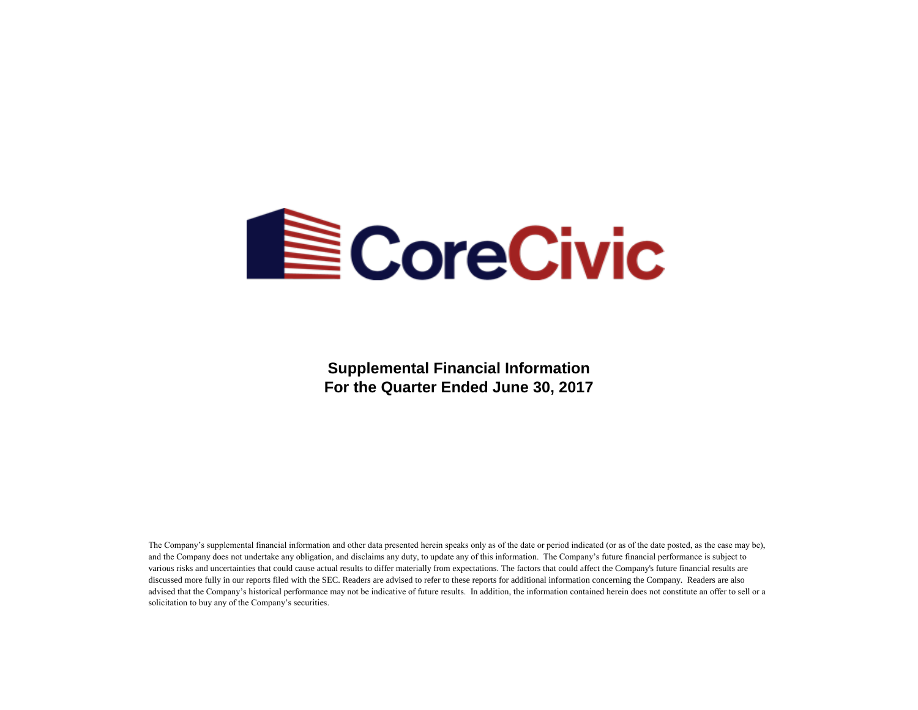

**Supplemental Financial Information For the Quarter Ended June 30, 2017**

The Company's supplemental financial information and other data presented herein speaks only as of the date or period indicated (or as of the date posted, as the case may be), and the Company does not undertake any obligation, and disclaims any duty, to update any of this information. The Company's future financial performance is subject to various risks and uncertainties that could cause actual results to differ materially from expectations. The factors that could affect the Company's future financial results are discussed more fully in our reports filed with the SEC. Readers are advised to refer to these reports for additional information concerning the Company. Readers are also advised that the Company's historical performance may not be indicative of future results. In addition, the information contained herein does not constitute an offer to sell or a solicitation to buy any of the Company's securities.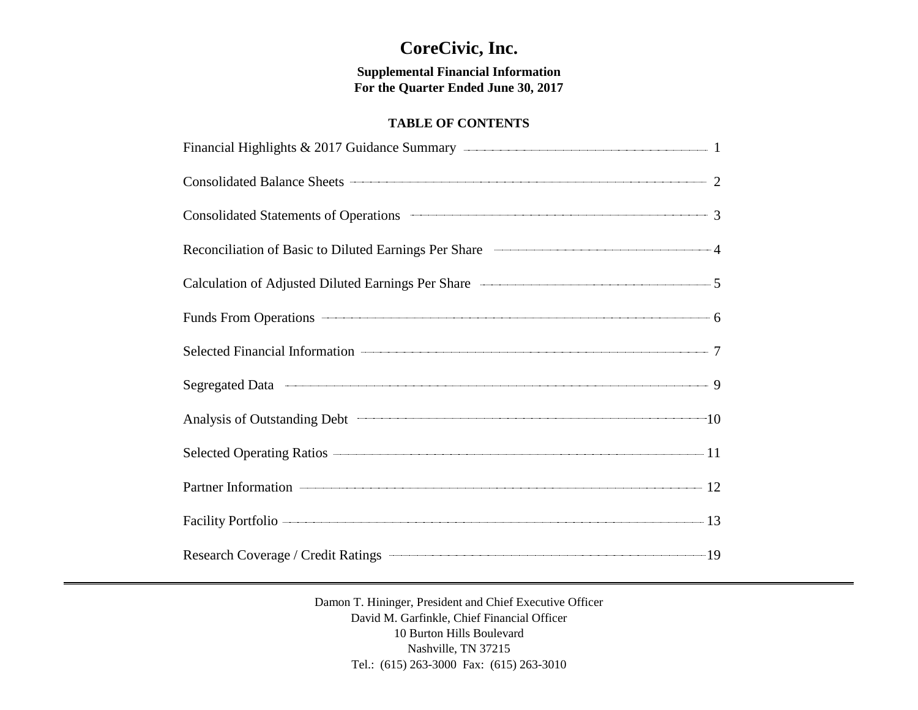# **CoreCivic, Inc.**

**Supplemental Financial Information For the Quarter Ended June 30, 2017**

# **TABLE OF CONTENTS**

| Consolidated Balance Sheets 2                                                                                |  |
|--------------------------------------------------------------------------------------------------------------|--|
| Consolidated Statements of Operations <b>Consolidated Statements</b> of Operations 3                         |  |
| Reconciliation of Basic to Diluted Earnings Per Share <b>Conserverse Conserverse Authority</b> 1             |  |
| Calculation of Adjusted Diluted Earnings Per Share <b>Calculation</b> of Adjusted Diluted Earnings Per Share |  |
| Funds From Operations 6                                                                                      |  |
|                                                                                                              |  |
|                                                                                                              |  |
| Analysis of Outstanding Debt 10                                                                              |  |
| Selected Operating Ratios 2014 11                                                                            |  |
| Partner Information 12                                                                                       |  |
| Facility Portfolio 2008 13                                                                                   |  |
| Research Coverage / Credit Ratings <b>Constant Coverage / Credit Ratings</b> 19                              |  |

Damon T. Hininger, President and Chief Executive Officer David M. Garfinkle, Chief Financial Officer 10 Burton Hills Boulevard Nashville, TN 37215 Tel.: (615) 263-3000 Fax: (615) 263-3010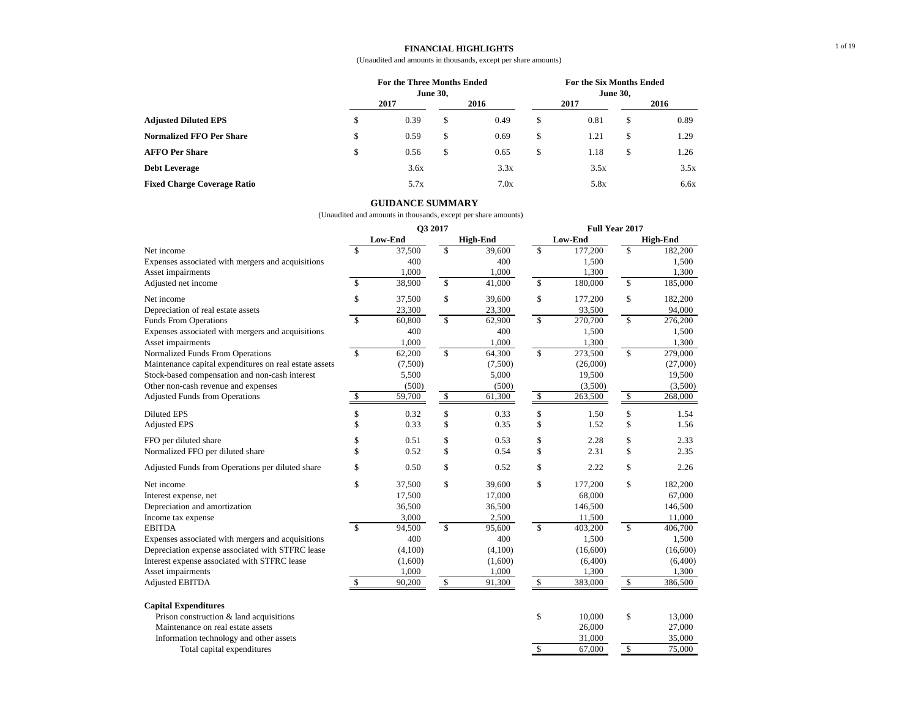#### **FINANCIAL HIGHLIGHTS**

(Unaudited and amounts in thousands, except per share amounts)

|                                    |      | For the Three Months Ended<br><b>June 30,</b> |      |      |      |      | For the Six Months Ended<br><b>June 30,</b> |      |  |  |  |
|------------------------------------|------|-----------------------------------------------|------|------|------|------|---------------------------------------------|------|--|--|--|
| <b>Adjusted Diluted EPS</b>        | 2017 |                                               | 2016 |      | 2017 |      | 2016                                        |      |  |  |  |
|                                    | S    | 0.39                                          | \$   | 0.49 | S.   | 0.81 | S                                           | 0.89 |  |  |  |
| <b>Normalized FFO Per Share</b>    | \$   | 0.59                                          | \$   | 0.69 | \$   | 1.21 | S                                           | 1.29 |  |  |  |
| <b>AFFO Per Share</b>              | S    | 0.56                                          | S    | 0.65 | S    | 1.18 | S                                           | 1.26 |  |  |  |
| <b>Debt Leverage</b>               |      | 3.6x                                          |      | 3.3x |      | 3.5x |                                             | 3.5x |  |  |  |
| <b>Fixed Charge Coverage Ratio</b> |      | 5.7x                                          |      | 7.0x |      | 5.8x |                                             | 6.6x |  |  |  |

### **GUIDANCE SUMMARY**

|                                                        | Q3 2017       |         |               | Full Year 2017  |                           |                  |               |                  |
|--------------------------------------------------------|---------------|---------|---------------|-----------------|---------------------------|------------------|---------------|------------------|
|                                                        |               | Low-End |               | <b>High-End</b> |                           | Low-End          |               | <b>High-End</b>  |
| Net income                                             | \$            | 37,500  | \$            | 39,600          | \$                        | 177,200          | \$            | 182,200          |
| Expenses associated with mergers and acquisitions      |               | 400     |               | 400             |                           | 1,500            |               | 1,500            |
| Asset impairments                                      |               | 1,000   |               | 1,000           |                           | 1,300            |               | 1,300            |
| Adjusted net income                                    | \$            | 38,900  | \$            | 41,000          | \$                        | 180,000          | \$            | 185,000          |
| Net income                                             | \$            | 37,500  | \$            | 39,600          | \$                        | 177,200          | \$            | 182,200          |
| Depreciation of real estate assets                     |               | 23,300  |               | 23,300          |                           | 93,500           |               | 94,000           |
| <b>Funds From Operations</b>                           | $\mathbf S$   | 60,800  | \$            | 62,900          | $\mathsf{\$}$             | 270,700          | $\mathsf{\$}$ | 276,200          |
| Expenses associated with mergers and acquisitions      |               | 400     |               | 400             |                           | 1,500            |               | 1,500            |
| Asset impairments                                      |               | 1,000   |               | 1,000           |                           | 1,300            |               | 1,300            |
| Normalized Funds From Operations                       | \$            | 62,200  | $\mathsf{\$}$ | 64,300          | $\mathsf{\$}$             | 273,500          | $\mathsf{\$}$ | 279,000          |
| Maintenance capital expenditures on real estate assets |               | (7,500) |               | (7,500)         |                           | (26,000)         |               | (27,000)         |
| Stock-based compensation and non-cash interest         |               | 5,500   |               | 5,000           |                           | 19,500           |               | 19,500           |
| Other non-cash revenue and expenses                    |               | (500)   |               | (500)           |                           | (3,500)          |               | (3,500)          |
| <b>Adjusted Funds from Operations</b>                  | \$            | 59,700  | \$            | 61,300          | $\boldsymbol{\mathsf{S}}$ | 263,500          | \$            | 268,000          |
| <b>Diluted EPS</b>                                     | \$            | 0.32    | \$            | 0.33            | \$                        | 1.50             | \$            | 1.54             |
| <b>Adjusted EPS</b>                                    | \$            | 0.33    | \$            | 0.35            | \$                        | 1.52             | \$            | 1.56             |
| FFO per diluted share                                  | \$            | 0.51    | \$            | 0.53            | \$                        | 2.28             | \$            | 2.33             |
| Normalized FFO per diluted share                       | \$            | 0.52    | \$            | 0.54            | \$                        | 2.31             | \$            | 2.35             |
| Adjusted Funds from Operations per diluted share       | \$            | 0.50    | \$            | 0.52            | \$                        | 2.22             | \$            | 2.26             |
| Net income                                             | \$            | 37,500  | \$            | 39,600          | \$                        | 177,200          | \$            | 182,200          |
| Interest expense, net                                  |               | 17,500  |               | 17,000          |                           | 68,000           |               | 67,000           |
| Depreciation and amortization                          |               | 36,500  |               | 36,500          |                           | 146,500          |               | 146,500          |
| Income tax expense                                     |               | 3,000   |               | 2,500           |                           | 11,500           |               | 11,000           |
| <b>EBITDA</b>                                          | $\mathbf{\$}$ | 94,500  | $\mathbb{S}$  | 95,600          | \$                        | 403,200          | \$            | 406,700          |
| Expenses associated with mergers and acquisitions      |               | 400     |               | 400             |                           | 1,500            |               | 1,500            |
| Depreciation expense associated with STFRC lease       |               | (4,100) |               | (4,100)         |                           | (16,600)         |               | (16,600)         |
| Interest expense associated with STFRC lease           |               | (1,600) |               | (1,600)         |                           | (6,400)          |               | (6,400)          |
| Asset impairments                                      |               | 1,000   |               | 1,000           |                           | 1,300            |               | 1,300            |
| <b>Adjusted EBITDA</b>                                 | \$            | 90,200  | \$            | 91,300          | \$                        | 383,000          | \$            | 386,500          |
| <b>Capital Expenditures</b>                            |               |         |               |                 |                           |                  |               |                  |
| Prison construction & land acquisitions                |               |         |               |                 | \$                        | 10,000           | \$            | 13,000           |
| Maintenance on real estate assets                      |               |         |               |                 |                           | 26,000           |               | 27,000           |
|                                                        |               |         |               |                 |                           |                  |               |                  |
| Information technology and other assets                |               |         |               |                 |                           | 31,000<br>67,000 |               | 35,000<br>75,000 |
| Total capital expenditures                             |               |         |               |                 | \$                        |                  | \$            |                  |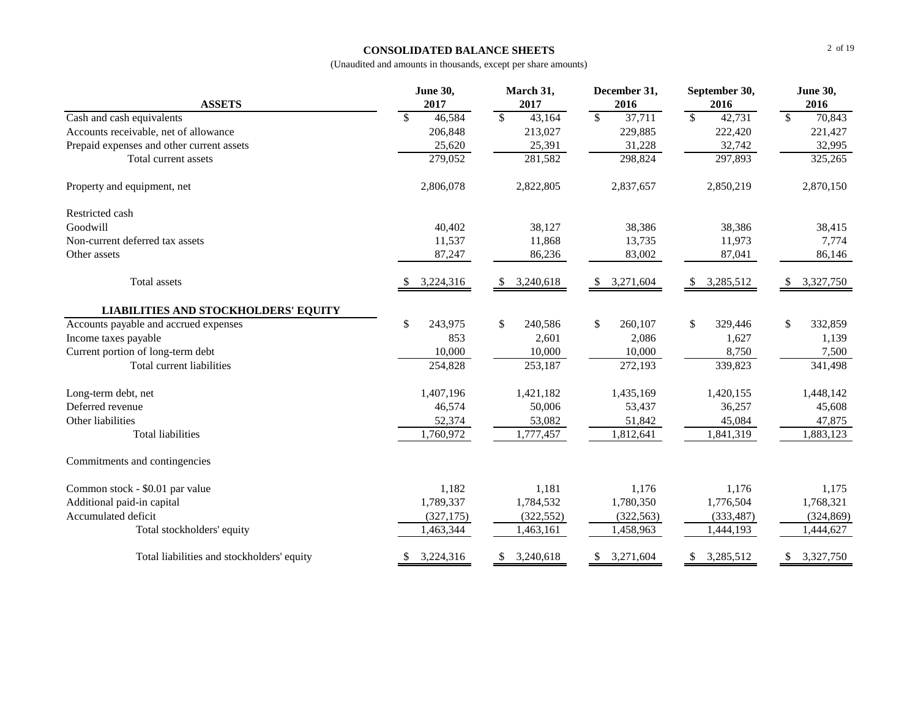# **CONSOLIDATED BALANCE SHEETS**

|                                             | <b>June 30,</b>         | March 31,                          | December 31,                       | September 30,                      | <b>June 30,</b>                    |
|---------------------------------------------|-------------------------|------------------------------------|------------------------------------|------------------------------------|------------------------------------|
| <b>ASSETS</b>                               | 2017                    | 2017                               | 2016                               | 2016                               | 2016                               |
| Cash and cash equivalents                   | \$<br>46,584            | $\overline{\mathcal{S}}$<br>43,164 | $\overline{\mathcal{S}}$<br>37,711 | $\overline{\mathcal{S}}$<br>42,731 | $\overline{\mathcal{S}}$<br>70,843 |
| Accounts receivable, net of allowance       | 206,848                 | 213,027                            | 229,885                            | 222,420                            | 221,427                            |
| Prepaid expenses and other current assets   | 25,620                  | 25,391                             | 31,228                             | 32,742                             | 32,995                             |
| Total current assets                        | 279,052                 | 281,582                            | 298,824                            | 297,893                            | 325,265                            |
| Property and equipment, net                 | 2,806,078               | 2,822,805                          | 2,837,657                          | 2,850,219                          | 2,870,150                          |
| Restricted cash                             |                         |                                    |                                    |                                    |                                    |
| Goodwill                                    | 40,402                  | 38,127                             | 38,386                             | 38,386                             | 38,415                             |
| Non-current deferred tax assets             | 11,537                  | 11,868                             | 13,735                             | 11,973                             | 7,774                              |
| Other assets                                | 87,247                  | 86,236                             | 83,002                             | 87,041                             | 86,146                             |
| Total assets                                | 3,224,316               | 3,240,618<br>\$                    | 3,271,604<br>\$                    | 3,285,512<br><sup>\$</sup>         | 3,327,750<br><sup>S</sup>          |
| <b>LIABILITIES AND STOCKHOLDERS' EQUITY</b> |                         |                                    |                                    |                                    |                                    |
| Accounts payable and accrued expenses       | $\mathbb{S}$<br>243,975 | \$<br>240,586                      | $\mathcal{S}$<br>260,107           | $\mathbb{S}$<br>329,446            | $\mathbb{S}$<br>332,859            |
| Income taxes payable                        | 853                     | 2,601                              | 2,086                              | 1,627                              | 1,139                              |
| Current portion of long-term debt           | 10,000                  | 10,000                             | 10,000                             | 8,750                              | 7,500                              |
| Total current liabilities                   | 254,828                 | 253,187                            | 272,193                            | 339,823                            | 341,498                            |
| Long-term debt, net                         | 1,407,196               | 1,421,182                          | 1,435,169                          | 1,420,155                          | 1,448,142                          |
| Deferred revenue                            | 46,574                  | 50,006                             | 53,437                             | 36,257                             | 45,608                             |
| Other liabilities                           | 52,374                  | 53,082                             | 51,842                             | 45,084                             | 47,875                             |
| <b>Total liabilities</b>                    | 1,760,972               | 1,777,457                          | 1,812,641                          | 1,841,319                          | 1,883,123                          |
| Commitments and contingencies               |                         |                                    |                                    |                                    |                                    |
| Common stock - \$0.01 par value             | 1,182                   | 1,181                              | 1,176                              | 1,176                              | 1,175                              |
| Additional paid-in capital                  | 1,789,337               | 1,784,532                          | 1,780,350                          | 1,776,504                          | 1,768,321                          |
| Accumulated deficit                         | (327, 175)              | (322, 552)                         | (322, 563)                         | (333, 487)                         | (324, 869)                         |
| Total stockholders' equity                  | 1,463,344               | 1,463,161                          | 1,458,963                          | 1,444,193                          | 1,444,627                          |
| Total liabilities and stockholders' equity  | 3,224,316<br>S.         | 3,240,618<br>S.                    | 3,271,604<br><sup>\$</sup>         | 3,285,512<br>S.                    | 3,327,750<br>\$                    |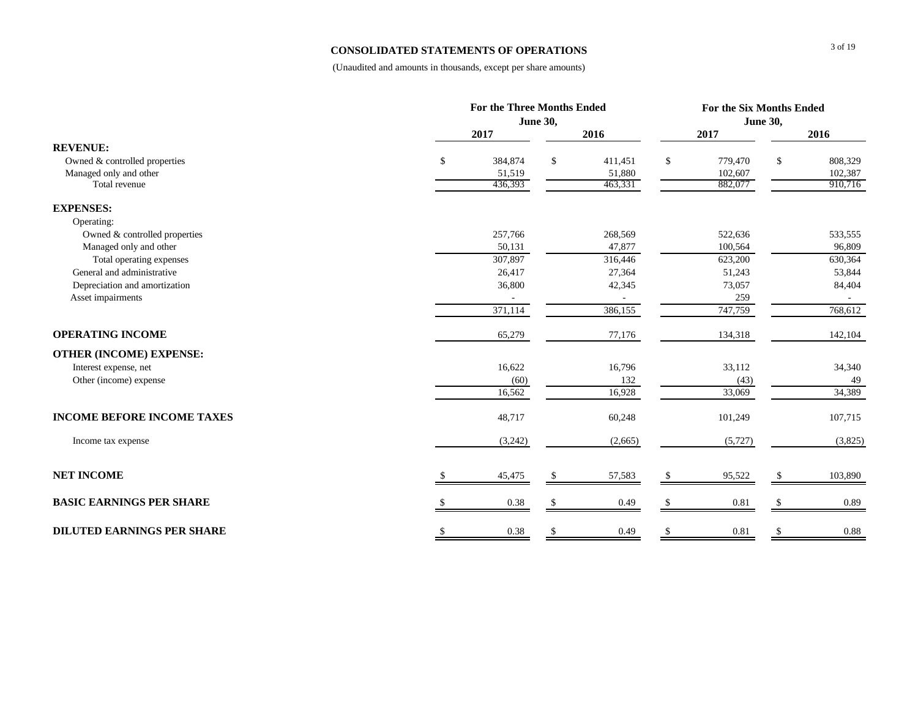# **CONSOLIDATED STATEMENTS OF OPERATIONS**

|                                   |               | <b>For the Three Months Ended</b> |                        |               |         |  |  |
|-----------------------------------|---------------|-----------------------------------|------------------------|---------------|---------|--|--|
|                                   |               | <b>June 30,</b>                   |                        |               |         |  |  |
|                                   | 2017          | 2016                              | 2017                   |               | 2016    |  |  |
| <b>REVENUE:</b>                   |               |                                   |                        |               |         |  |  |
| Owned & controlled properties     | 384,874<br>\$ | \$<br>411,451                     | \$<br>779,470          | \$            | 808,329 |  |  |
| Managed only and other            | 51,519        | 51,880                            | 102,607                |               | 102,387 |  |  |
| Total revenue                     | 436,393       | 463,331                           | 882,077                |               | 910,716 |  |  |
| <b>EXPENSES:</b>                  |               |                                   |                        |               |         |  |  |
| Operating:                        |               |                                   |                        |               |         |  |  |
| Owned & controlled properties     | 257,766       | 268,569                           | 522,636                |               | 533,555 |  |  |
| Managed only and other            | 50,131        | 47,877                            | 100,564                |               | 96,809  |  |  |
| Total operating expenses          | 307,897       | 316,446                           | 623,200                |               | 630,364 |  |  |
| General and administrative        | 26,417        | 27,364                            | 51,243                 |               | 53,844  |  |  |
| Depreciation and amortization     | 36,800        | 42,345                            | 73,057                 |               | 84,404  |  |  |
| Asset impairments                 |               |                                   | 259                    |               |         |  |  |
|                                   | 371,114       | 386,155                           | 747,759                |               | 768,612 |  |  |
| <b>OPERATING INCOME</b>           | 65,279        | 77,176                            | 134,318                |               | 142,104 |  |  |
| <b>OTHER (INCOME) EXPENSE:</b>    |               |                                   |                        |               |         |  |  |
| Interest expense, net             | 16,622        | 16,796                            | 33,112                 |               | 34,340  |  |  |
| Other (income) expense            | (60)          | 132                               | (43)                   |               | 49      |  |  |
|                                   | 16,562        | 16,928                            | 33,069                 |               | 34,389  |  |  |
| <b>INCOME BEFORE INCOME TAXES</b> | 48,717        | 60,248                            | 101,249                |               | 107,715 |  |  |
| Income tax expense                | (3,242)       | (2,665)                           | (5,727)                |               | (3,825) |  |  |
| <b>NET INCOME</b>                 | 45,475        | \$<br>57,583                      | $\mathbb{S}$<br>95,522 |               | 103,890 |  |  |
|                                   |               |                                   |                        |               |         |  |  |
| <b>BASIC EARNINGS PER SHARE</b>   | 0.38          | $\mathcal{S}$<br>0.49             | \$<br>0.81             |               | 0.89    |  |  |
| <b>DILUTED EARNINGS PER SHARE</b> | \$<br>0.38    | \$<br>0.49                        | \$<br>0.81             | $\mathcal{S}$ | 0.88    |  |  |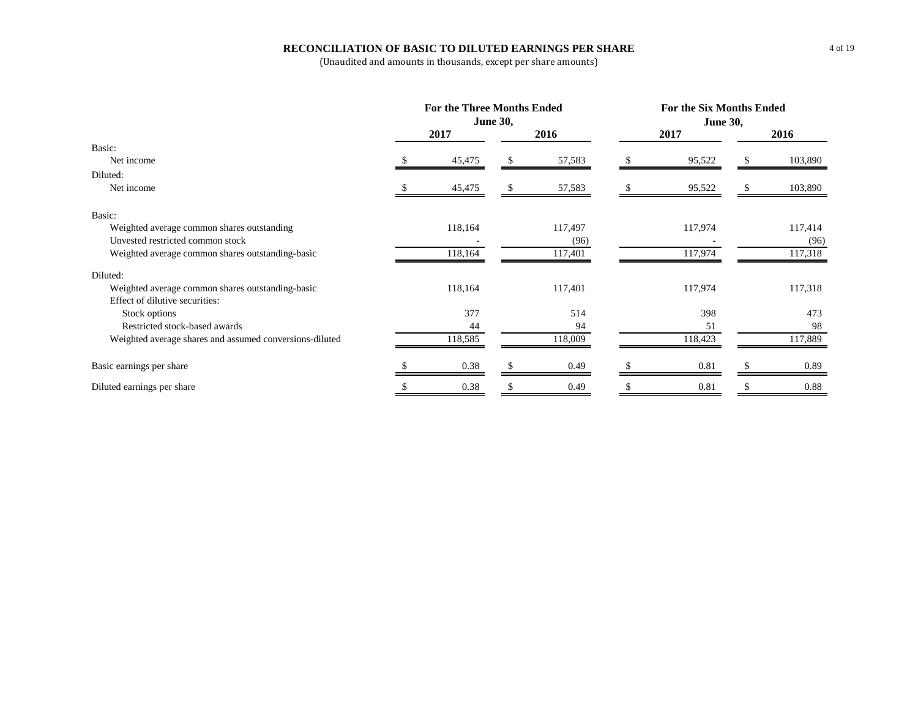# **RECONCILIATION OF BASIC TO DILUTED EARNINGS PER SHARE**

|                                                         |                 | <b>For the Three Months Ended</b> |      | For the Six Months Ended |      |                 |   |         |  |
|---------------------------------------------------------|-----------------|-----------------------------------|------|--------------------------|------|-----------------|---|---------|--|
|                                                         | <b>June 30,</b> |                                   |      |                          |      | <b>June 30,</b> |   |         |  |
|                                                         | 2017            |                                   | 2016 |                          | 2017 |                 |   | 2016    |  |
| Basic:                                                  |                 |                                   |      |                          |      |                 |   |         |  |
| Net income                                              |                 | 45,475                            |      | 57,583                   |      | 95,522          |   | 103,890 |  |
| Diluted:                                                |                 |                                   |      |                          |      |                 |   |         |  |
| Net income                                              |                 | 45,475                            |      | 57,583                   |      | 95,522          | S | 103,890 |  |
| Basic:                                                  |                 |                                   |      |                          |      |                 |   |         |  |
| Weighted average common shares outstanding              |                 | 118,164                           |      | 117,497                  |      | 117,974         |   | 117,414 |  |
| Unvested restricted common stock                        |                 |                                   |      | (96)                     |      |                 |   | (96)    |  |
| Weighted average common shares outstanding-basic        |                 | 118,164                           |      | 117,401                  |      | 117,974         |   | 117,318 |  |
| Diluted:                                                |                 |                                   |      |                          |      |                 |   |         |  |
| Weighted average common shares outstanding-basic        |                 | 118,164                           |      | 117,401                  |      | 117,974         |   | 117,318 |  |
| Effect of dilutive securities:                          |                 |                                   |      |                          |      |                 |   |         |  |
| Stock options                                           |                 | 377                               |      | 514                      |      | 398             |   | 473     |  |
| Restricted stock-based awards                           |                 | 44                                |      | 94                       |      | 51              |   | 98      |  |
| Weighted average shares and assumed conversions-diluted |                 | 118,585                           |      | 118,009                  |      | 118,423         |   | 117,889 |  |
| Basic earnings per share                                |                 | 0.38                              |      | 0.49                     |      | 0.81            |   | 0.89    |  |
| Diluted earnings per share                              |                 | 0.38                              |      | 0.49                     |      | 0.81            |   | 0.88    |  |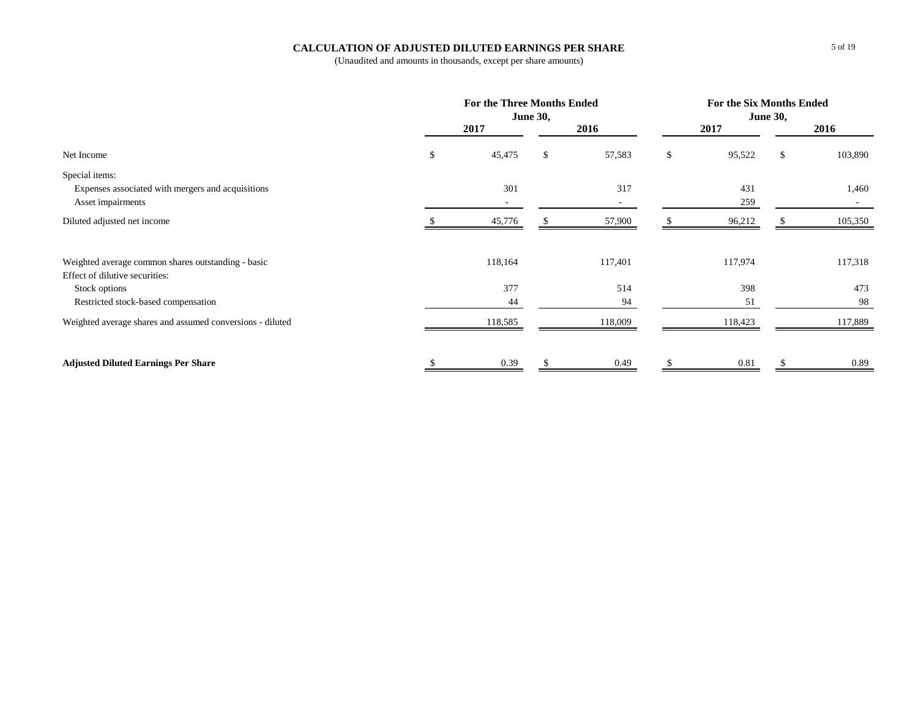# **CALCULATION OF ADJUSTED DILUTED EARNINGS PER SHARE**

|                                                           | <b>For the Three Months Ended</b><br><b>June 30,</b> |    |         |    | For the Six Months Ended<br><b>June 30,</b> |    |         |  |
|-----------------------------------------------------------|------------------------------------------------------|----|---------|----|---------------------------------------------|----|---------|--|
|                                                           | 2017                                                 |    | 2016    |    | 2017                                        |    | 2016    |  |
| Net Income                                                | \$<br>45,475                                         | \$ | 57,583  | \$ | 95,522                                      | \$ | 103,890 |  |
| Special items:                                            |                                                      |    |         |    |                                             |    |         |  |
| Expenses associated with mergers and acquisitions         | 301                                                  |    | 317     |    | 431                                         |    | 1,460   |  |
| Asset impairments                                         |                                                      |    |         |    | 259                                         |    | $\sim$  |  |
| Diluted adjusted net income                               | 45,776                                               |    | 57,900  |    | 96,212                                      |    | 105,350 |  |
| Weighted average common shares outstanding - basic        | 118,164                                              |    | 117,401 |    | 117,974                                     |    | 117,318 |  |
| Effect of dilutive securities:                            |                                                      |    |         |    |                                             |    |         |  |
| Stock options                                             | 377                                                  |    | 514     |    | 398                                         |    | 473     |  |
| Restricted stock-based compensation                       | 44                                                   |    | 94      |    | 51                                          |    | 98      |  |
| Weighted average shares and assumed conversions - diluted | 118,585                                              |    | 118,009 |    | 118,423                                     |    | 117,889 |  |
| <b>Adjusted Diluted Earnings Per Share</b>                | 0.39                                                 |    | 0.49    |    | 0.81                                        |    | 0.89    |  |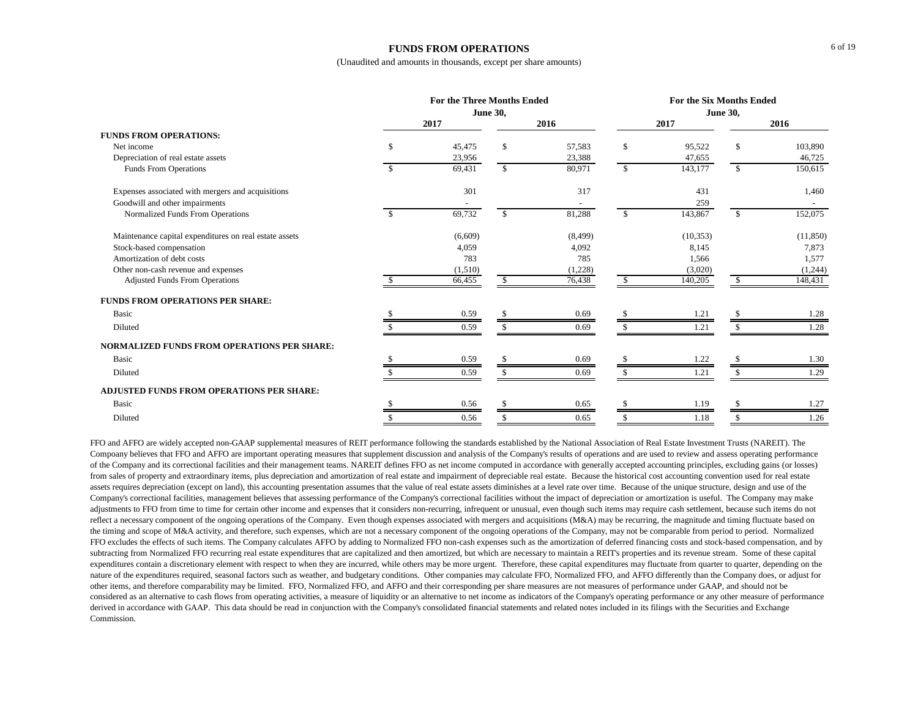#### **FUNDS FROM OPERATIONS**

(Unaudited and amounts in thousands, except per share amounts)

|                                                        | <b>For the Three Months Ended</b><br><b>June 30,</b> |         |                    |          | <b>For the Six Months Ended</b><br><b>June 30,</b> |           |              |           |  |
|--------------------------------------------------------|------------------------------------------------------|---------|--------------------|----------|----------------------------------------------------|-----------|--------------|-----------|--|
|                                                        | 2017                                                 |         | 2016               |          | 2017                                               |           |              | 2016      |  |
| <b>FUNDS FROM OPERATIONS:</b>                          |                                                      |         |                    |          |                                                    |           |              |           |  |
| Net income                                             | \$                                                   | 45,475  | \$                 | 57,583   | \$                                                 | 95,522    | \$           | 103,890   |  |
| Depreciation of real estate assets                     |                                                      | 23,956  |                    | 23,388   |                                                    | 47,655    |              | 46,725    |  |
| Funds From Operations                                  |                                                      | 69,431  | $\mathbf{\hat{S}}$ | 80,971   | $\mathbf{s}$                                       | 143,177   | $\mathbb{S}$ | 150,615   |  |
| Expenses associated with mergers and acquisitions      |                                                      | 301     |                    | 317      |                                                    | 431       |              | 1,460     |  |
| Goodwill and other impairments                         |                                                      |         |                    |          |                                                    | 259       |              |           |  |
| Normalized Funds From Operations                       |                                                      | 69,732  | $\mathbb{S}$       | 81,288   | $\mathbf{s}$                                       | 143,867   | \$           | 152,075   |  |
| Maintenance capital expenditures on real estate assets |                                                      | (6,609) |                    | (8, 499) |                                                    | (10, 353) |              | (11, 850) |  |
| Stock-based compensation                               |                                                      | 4,059   |                    | 4,092    |                                                    | 8,145     |              | 7,873     |  |
| Amortization of debt costs                             |                                                      | 783     |                    | 785      |                                                    | 1,566     |              | 1,577     |  |
| Other non-cash revenue and expenses                    |                                                      | (1,510) |                    | (1,228)  |                                                    | (3,020)   |              | (1,244)   |  |
| <b>Adjusted Funds From Operations</b>                  |                                                      | 66,455  | -S                 | 76,438   |                                                    | 140,205   | SS.          | 148,431   |  |
| <b>FUNDS FROM OPERATIONS PER SHARE:</b>                |                                                      |         |                    |          |                                                    |           |              |           |  |
| <b>Basic</b>                                           |                                                      | 0.59    |                    | 0.69     |                                                    | 1.21      |              | 1.28      |  |
| Diluted                                                |                                                      | 0.59    |                    | 0.69     |                                                    | 1.21      |              | 1.28      |  |
| NORMALIZED FUNDS FROM OPERATIONS PER SHARE:            |                                                      |         |                    |          |                                                    |           |              |           |  |
| <b>Basic</b>                                           |                                                      | 0.59    |                    | 0.69     |                                                    | 1.22      |              | 1.30      |  |
| Diluted                                                |                                                      | 0.59    |                    | 0.69     |                                                    | 1.21      |              | 1.29      |  |
| <b>ADJUSTED FUNDS FROM OPERATIONS PER SHARE:</b>       |                                                      |         |                    |          |                                                    |           |              |           |  |
| <b>Basic</b>                                           |                                                      | 0.56    |                    | 0.65     |                                                    | 1.19      |              | 1.27      |  |
| Diluted                                                |                                                      | 0.56    | \$                 | 0.65     |                                                    | 1.18      |              | 1.26      |  |

FFO and AFFO are widely accepted non-GAAP supplemental measures of REIT performance following the standards established by the National Association of Real Estate Investment Trusts (NAREIT). The Compoany believes that FFO and AFFO are important operating measures that supplement discussion and analysis of the Company's results of operations and are used to review and assess operating performance of the Company and its correctional facilities and their management teams. NAREIT defines FFO as net income computed in accordance with generally accepted accounting principles, excluding gains (or losses) from sales of property and extraordinary items, plus depreciation and amortization of real estate and impairment of depreciable real estate. Because the historical cost accounting convention used for real estate assets requires depreciation (except on land), this accounting presentation assumes that the value of real estate assets diminishes at a level rate over time. Because of the unique structure, design and use of the Company's correctional facilities, management believes that assessing performance of the Company's correctional facilities without the impact of depreciation or amortization is useful. The Company may make adjustments to FFO from time to time for certain other income and expenses that it considers non-recurring, infrequent or unusual, even though such items may require cash settlement, because such items do not reflect a necessary component of the ongoing operations of the Company. Even though expenses associated with mergers and acquisitions (M&A) may be recurring, the magnitude and timing fluctuate based on the timing and scope of M&A activity, and therefore, such expenses, which are not a necessary component of the ongoing operations of the Company, may not be comparable from period to period. Normalized FFO excludes the effects of such items. The Company calculates AFFO by adding to Normalized FFO non-cash expenses such as the amortization of deferred financing costs and stock-based compensation, and by subtracting from Normalized FFO recurring real estate expenditures that are capitalized and then amortized, but which are necessary to maintain a REIT's properties and its revenue stream. Some of these capital expenditures contain a discretionary element with respect to when they are incurred, while others may be more urgent. Therefore, these capital expenditures may fluctuate from quarter to quarter, depending on the nature of the expenditures required, seasonal factors such as weather, and budgetary conditions. Other companies may calculate FFO, Normalized FFO, and AFFO differently than the Company does, or adjust for other items, and therefore comparability may be limited. FFO, Normalized FFO, and AFFO and their corresponding per share measures are not measures of performance under GAAP, and should not be considered as an alternative to cash flows from operating activities, a measure of liquidity or an alternative to net income as indicators of the Company's operating performance or any other measure of performance derived in accordance with GAAP. This data should be read in conjunction with the Company's consolidated financial statements and related notes included in its filings with the Securities and Exchange Commission.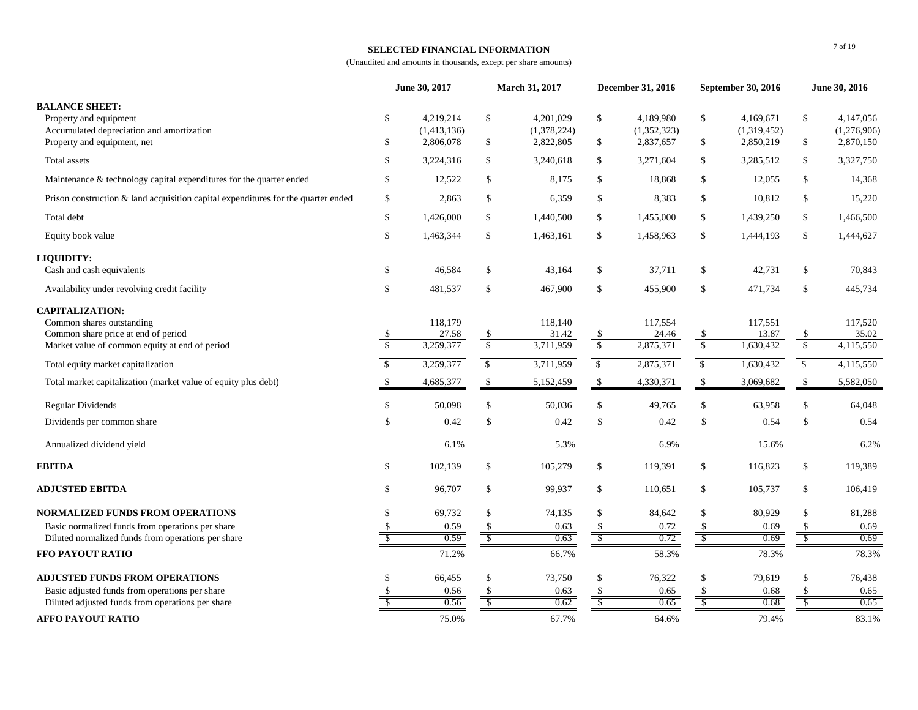## **SELECTED FINANCIAL INFORMATION**

(Unaudited and amounts in thousands, except per share amounts)

|                                                                                                                                              |                                | June 30, 2017                         | March 31, 2017                 |                                       | December 31, 2016          |                                       | September 30, 2016             |                                       | June 30, 2016                             |                                       |
|----------------------------------------------------------------------------------------------------------------------------------------------|--------------------------------|---------------------------------------|--------------------------------|---------------------------------------|----------------------------|---------------------------------------|--------------------------------|---------------------------------------|-------------------------------------------|---------------------------------------|
| <b>BALANCE SHEET:</b><br>Property and equipment<br>Accumulated depreciation and amortization<br>Property and equipment, net                  | \$<br>$\overline{\mathcal{S}}$ | 4,219,214<br>(1,413,136)<br>2,806,078 | \$<br>$\sqrt{3}$               | 4,201,029<br>(1,378,224)<br>2,822,805 | $\mathbb{S}$<br>$\sqrt{2}$ | 4,189,980<br>(1,352,323)<br>2,837,657 | \$<br>$\sqrt{3}$               | 4,169,671<br>(1,319,452)<br>2,850,219 | $\mathbb{S}$<br>$\sqrt{3}$                | 4,147,056<br>(1,276,906)<br>2,870,150 |
| Total assets                                                                                                                                 | \$                             | 3,224,316                             | \$                             | 3,240,618                             | \$                         | 3,271,604                             | \$                             | 3,285,512                             | \$                                        | 3,327,750                             |
| Maintenance & technology capital expenditures for the quarter ended                                                                          | \$                             | 12,522                                | \$                             | 8,175                                 | $\mathbb{S}$               | 18,868                                | \$                             | 12,055                                | $\mathbb{S}$                              | 14,368                                |
| Prison construction & land acquisition capital expenditures for the quarter ended                                                            | \$                             | 2,863                                 | \$                             | 6,359                                 | \$                         | 8.383                                 | \$                             | 10,812                                | \$                                        | 15,220                                |
| Total debt                                                                                                                                   | \$                             | 1,426,000                             | \$                             | 1,440,500                             | $\mathbb{S}$               | 1,455,000                             | \$                             | 1,439,250                             | $\mathbb{S}$                              | 1,466,500                             |
| Equity book value                                                                                                                            | \$                             | 1,463,344                             | \$                             | 1,463,161                             | $\mathbb{S}$               | 1,458,963                             | \$                             | 1,444,193                             | $\mathbb{S}$                              | 1,444,627                             |
| LIQUIDITY:                                                                                                                                   |                                |                                       |                                |                                       |                            |                                       |                                |                                       |                                           |                                       |
| Cash and cash equivalents                                                                                                                    | \$                             | 46,584                                | \$                             | 43,164                                | $\mathbb{S}$               | 37,711                                | $\mathbb{S}$                   | 42,731                                | $\mathbb{S}$                              | 70,843                                |
| Availability under revolving credit facility                                                                                                 | \$                             | 481,537                               | \$                             | 467,900                               | $\mathbb{S}$               | 455,900                               | \$                             | 471,734                               | $\mathbb{S}$                              | 445,734                               |
| <b>CAPITALIZATION:</b><br>Common shares outstanding<br>Common share price at end of period<br>Market value of common equity at end of period | \$<br>$\sqrt{2}$               | 118,179<br>27.58<br>3,259,377         | \$<br>$\overline{\mathcal{S}}$ | 118,140<br>31.42<br>3,711,959         | $\frac{\$}{\$}$            | 117,554<br>24.46<br>2,875,371         | -\$<br>$\sqrt[6]{\frac{1}{2}}$ | 117,551<br>13.87<br>1,630,432         | $\mathcal{S}$<br>$\overline{\mathcal{S}}$ | 117,520<br>35.02<br>4,115,550         |
| Total equity market capitalization                                                                                                           | $\mathcal{S}$                  | 3,259,377                             | $\sqrt[6]{\frac{1}{2}}$        | 3,711,959                             | $\sqrt[6]{\frac{1}{2}}$    | 2,875,371                             | $\mathbb{S}$                   | 1,630,432                             | $\sqrt[6]{\frac{1}{2}}$                   | 4,115,550                             |
| Total market capitalization (market value of equity plus debt)                                                                               | $\mathbb{S}$                   | 4,685,377                             | $\mathcal{S}$                  | 5,152,459                             | $\mathbb{S}$               | 4,330,371                             | $\mathbb{S}$                   | 3,069,682                             | $\mathbb{S}$                              | 5,582,050                             |
| <b>Regular Dividends</b>                                                                                                                     | \$                             | 50,098                                | \$                             | 50,036                                | $\mathbb{S}$               | 49,765                                | \$                             | 63,958                                | \$                                        | 64,048                                |
| Dividends per common share                                                                                                                   | <sup>\$</sup>                  | 0.42                                  | \$                             | 0.42                                  | $\mathbb{S}$               | 0.42                                  | $\mathbb{S}$                   | 0.54                                  | $\mathbb{S}$                              | 0.54                                  |
| Annualized dividend yield                                                                                                                    |                                | 6.1%                                  |                                | 5.3%                                  |                            | 6.9%                                  |                                | 15.6%                                 |                                           | 6.2%                                  |
| <b>EBITDA</b>                                                                                                                                | \$                             | 102,139                               | \$                             | 105,279                               | $\mathbb{S}$               | 119,391                               | \$                             | 116,823                               | \$                                        | 119,389                               |
| <b>ADJUSTED EBITDA</b>                                                                                                                       | \$                             | 96,707                                | \$                             | 99,937                                | $\mathbb{S}$               | 110,651                               | \$                             | 105,737                               | \$                                        | 106,419                               |
| <b>NORMALIZED FUNDS FROM OPERATIONS</b>                                                                                                      | $\mathcal{S}$                  | 69,732                                | \$                             | 74,135                                | $\mathbb{S}$               | 84,642                                | \$                             | 80,929                                | \$                                        | 81,288                                |
| Basic normalized funds from operations per share                                                                                             |                                | 0.59                                  | \$                             | 0.63                                  | <sup>\$</sup>              | 0.72                                  | -S                             | 0.69                                  | -S                                        | 0.69                                  |
| Diluted normalized funds from operations per share<br>FFO PAYOUT RATIO                                                                       |                                | 0.59<br>71.2%                         | $\mathcal{S}$                  | 0.63<br>66.7%                         | $\sqrt{\ }$                | 0.72<br>58.3%                         | -S                             | 0.69<br>78.3%                         | -S                                        | 0.69<br>78.3%                         |
|                                                                                                                                              |                                |                                       |                                |                                       |                            |                                       |                                |                                       |                                           |                                       |
| <b>ADJUSTED FUNDS FROM OPERATIONS</b>                                                                                                        | \$.                            | 66,455                                | \$<br>\$                       | 73,750                                | \$                         | 76,322                                | \$                             | 79,619                                | \$                                        | 76,438                                |
| Basic adjusted funds from operations per share<br>Diluted adjusted funds from operations per share                                           |                                | 0.56<br>0.56                          | \$                             | 0.63<br>0.62                          | \$<br>S                    | 0.65<br>0.65                          | \$                             | 0.68<br>0.68                          | S                                         | 0.65<br>0.65                          |
| <b>AFFO PAYOUT RATIO</b>                                                                                                                     |                                | 75.0%                                 |                                | 67.7%                                 |                            | 64.6%                                 |                                | 79.4%                                 |                                           | 83.1%                                 |

7 of 19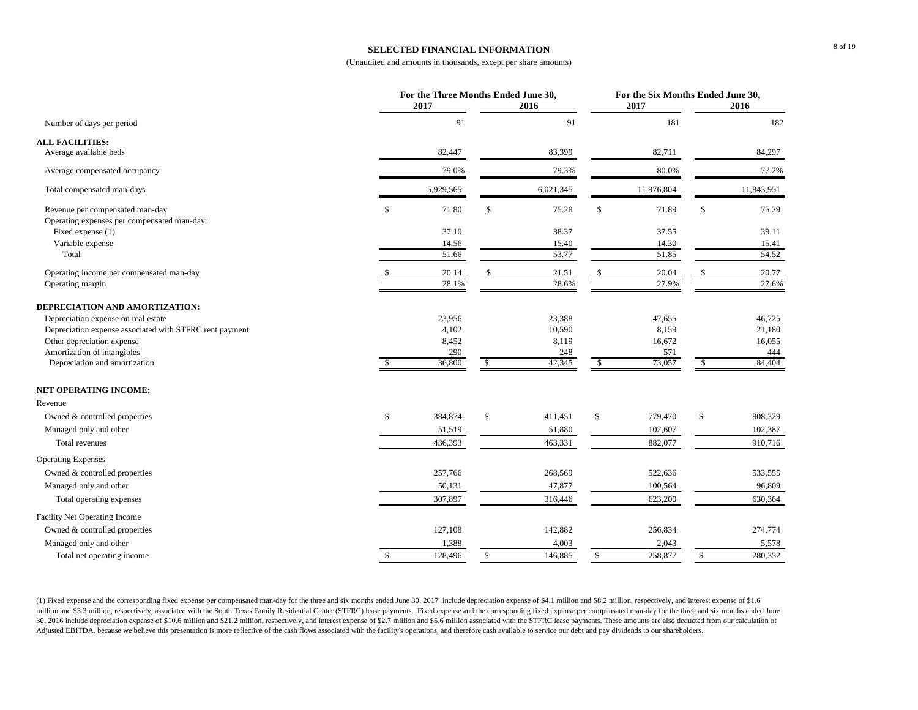### **SELECTED FINANCIAL INFORMATION**

(Unaudited and amounts in thousands, except per share amounts)

|                                                         |              | For the Three Months Ended June 30, |               |                | For the Six Months Ended June 30,<br>2017 |    |            |  |
|---------------------------------------------------------|--------------|-------------------------------------|---------------|----------------|-------------------------------------------|----|------------|--|
|                                                         |              | 2017                                | 2016          |                |                                           |    | 2016       |  |
| Number of days per period                               |              | 91                                  | 91            |                | 181                                       |    | 182        |  |
| <b>ALL FACILITIES:</b>                                  |              |                                     |               |                |                                           |    |            |  |
| Average available beds                                  |              | 82,447                              | 83,399        |                | 82,711                                    |    | 84,297     |  |
| Average compensated occupancy                           |              | 79.0%                               | 79.3%         |                | 80.0%                                     |    | 77.2%      |  |
| Total compensated man-days                              |              | 5,929,565                           | 6,021,345     |                | 11,976,804                                |    | 11,843,951 |  |
| Revenue per compensated man-day                         | \$           | 71.80                               | \$<br>75.28   | \$             | 71.89                                     | \$ | 75.29      |  |
| Operating expenses per compensated man-day:             |              |                                     |               |                |                                           |    |            |  |
| Fixed expense (1)                                       |              | 37.10                               | 38.37         |                | 37.55                                     |    | 39.11      |  |
| Variable expense                                        |              | 14.56                               | 15.40         |                | 14.30                                     |    | 15.41      |  |
| Total                                                   |              | 51.66                               | 53.77         |                | 51.85                                     |    | 54.52      |  |
| Operating income per compensated man-day                |              | 20.14                               | 21.51         |                | 20.04                                     |    | 20.77      |  |
| Operating margin                                        |              | 28.1%                               | 28.6%         |                | 27.9%                                     |    | 27.6%      |  |
| DEPRECIATION AND AMORTIZATION:                          |              |                                     |               |                |                                           |    |            |  |
| Depreciation expense on real estate                     |              | 23,956                              | 23,388        |                | 47,655                                    |    | 46,725     |  |
| Depreciation expense associated with STFRC rent payment |              | 4,102                               | 10,590        |                | 8,159                                     |    | 21,180     |  |
| Other depreciation expense                              |              | 8,452                               | 8,119         |                | 16,672                                    |    | 16,055     |  |
| Amortization of intangibles                             |              | 290                                 | 248           |                | 571                                       |    | 444        |  |
| Depreciation and amortization                           |              | 36,800                              | \$<br>42,345  | $\mathfrak{F}$ | 73,057                                    | \$ | 84,404     |  |
| <b>NET OPERATING INCOME:</b>                            |              |                                     |               |                |                                           |    |            |  |
| Revenue                                                 |              |                                     |               |                |                                           |    |            |  |
| Owned & controlled properties                           | \$           | 384,874                             | \$<br>411,451 | \$             | 779,470                                   | \$ | 808,329    |  |
| Managed only and other                                  |              | 51,519                              | 51,880        |                | 102,607                                   |    | 102,387    |  |
| Total revenues                                          |              | 436,393                             | 463,331       |                | 882,077                                   |    | 910,716    |  |
| <b>Operating Expenses</b>                               |              |                                     |               |                |                                           |    |            |  |
| Owned & controlled properties                           |              | 257,766                             | 268,569       |                | 522,636                                   |    | 533,555    |  |
| Managed only and other                                  |              | 50,131                              | 47,877        |                | 100,564                                   |    | 96,809     |  |
| Total operating expenses                                |              | 307,897                             | 316,446       |                | 623,200                                   |    | 630,364    |  |
| Facility Net Operating Income                           |              |                                     |               |                |                                           |    |            |  |
| Owned & controlled properties                           |              | 127,108                             | 142,882       |                | 256,834                                   |    | 274,774    |  |
| Managed only and other                                  |              | 1,388                               | 4,003         |                | 2,043                                     |    | 5,578      |  |
| Total net operating income                              | $\mathbb{S}$ | 128,496                             | \$<br>146,885 | \$             | 258,877                                   | \$ | 280,352    |  |

(1) Fixed expense and the corresponding fixed expense per compensated man-day for the three and six months ended June 30, 2017 include depreciation expense of \$4.1 million and \$8.2 million, respectively, and interest expen million and \$3.3 million, respectively, associated with the South Texas Family Residential Center (STFRC) lease payments. Fixed expense and the corresponding fixed expense per compensated man-day for the three and six mont 30, 2016 include depreciation expense of \$10.6 million and \$21.2 million, respectively, and interest expense of \$2.7 million and \$5.6 million associated with the STFRC lease payments. These amounts are also deducted from o Adjusted EBITDA, because we believe this presentation is more reflective of the cash flows associated with the facility's operations, and therefore cash available to service our debt and pay dividends to our shareholders.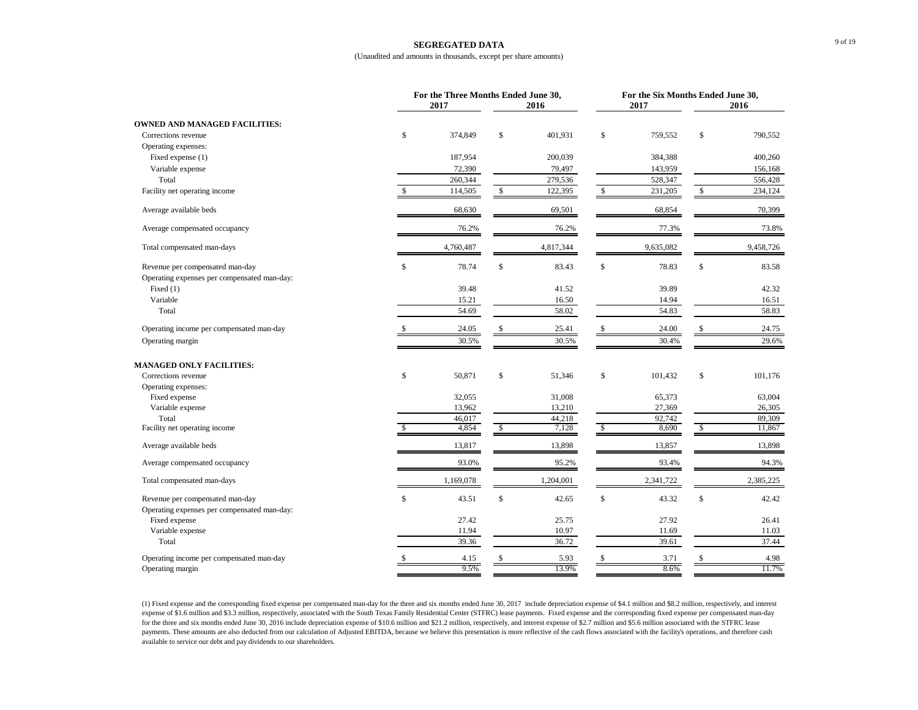#### **SEGREGATED DATA**

#### (Unaudited and amounts in thousands, except per share amounts)

|                                                                                | For the Three Months Ended June 30,<br>2017<br>2016 |    |           |              | 2017      | For the Six Months Ended June 30,<br>2016 |           |  |
|--------------------------------------------------------------------------------|-----------------------------------------------------|----|-----------|--------------|-----------|-------------------------------------------|-----------|--|
| <b>OWNED AND MANAGED FACILITIES:</b>                                           |                                                     |    |           |              |           |                                           |           |  |
| Corrections revenue                                                            | \$<br>374,849                                       | \$ | 401,931   | \$           | 759,552   | \$                                        | 790,552   |  |
| Operating expenses:                                                            |                                                     |    |           |              |           |                                           |           |  |
| Fixed expense (1)                                                              | 187,954                                             |    | 200,039   |              | 384,388   |                                           | 400,260   |  |
| Variable expense                                                               | 72,390                                              |    |           |              | 143,959   |                                           | 156,168   |  |
|                                                                                | 260,344                                             |    | 79,497    |              |           |                                           |           |  |
| Total                                                                          |                                                     |    | 279,536   |              | 528,347   |                                           | 556,428   |  |
| Facility net operating income                                                  | \$<br>114,505                                       | \$ | 122,395   | $\mathbb{S}$ | 231,205   | \$                                        | 234,124   |  |
| Average available beds                                                         | 68,630                                              |    | 69,501    |              | 68,854    |                                           | 70,399    |  |
| Average compensated occupancy                                                  | 76.2%                                               |    | 76.2%     |              | 77.3%     |                                           | 73.8%     |  |
| Total compensated man-days                                                     | 4,760,487                                           |    | 4,817,344 |              | 9,635,082 |                                           | 9,458,726 |  |
| Revenue per compensated man-day<br>Operating expenses per compensated man-day: | \$<br>78.74                                         | \$ | 83.43     | \$           | 78.83     | \$                                        | 83.58     |  |
| Fixed (1)                                                                      | 39.48                                               |    | 41.52     |              | 39.89     |                                           | 42.32     |  |
| Variable                                                                       | 15.21                                               |    | 16.50     |              | 14.94     |                                           | 16.51     |  |
| Total                                                                          | 54.69                                               |    | 58.02     |              |           |                                           | 58.83     |  |
|                                                                                |                                                     |    |           |              | 54.83     |                                           |           |  |
| Operating income per compensated man-day                                       | 24.05                                               | \$ | 25.41     | $\mathbb{S}$ | 24.00     | \$                                        | 24.75     |  |
| Operating margin                                                               | 30.5%                                               |    | 30.5%     |              | 30.4%     |                                           | 29.6%     |  |
| <b>MANAGED ONLY FACILITIES:</b>                                                |                                                     |    |           |              |           |                                           |           |  |
| Corrections revenue                                                            | \$<br>50,871                                        | \$ | 51,346    | \$           | 101,432   | \$                                        | 101,176   |  |
| Operating expenses:                                                            |                                                     |    |           |              |           |                                           |           |  |
| Fixed expense                                                                  | 32,055                                              |    | 31,008    |              | 65,373    |                                           | 63,004    |  |
| Variable expense                                                               | 13,962                                              |    | 13,210    |              | 27,369    |                                           | 26,305    |  |
| Total                                                                          | 46,017                                              |    | 44,218    |              | 92,742    |                                           | 89,309    |  |
| Facility net operating income                                                  | 4,854                                               | \$ | 7,128     | -\$          | 8,690     | \$                                        | 11,867    |  |
| Average available beds                                                         | 13,817                                              |    | 13,898    |              | 13,857    |                                           | 13,898    |  |
| Average compensated occupancy                                                  | 93.0%                                               |    | 95.2%     |              | 93.4%     |                                           | 94.3%     |  |
| Total compensated man-days                                                     | 1,169,078                                           |    | 1,204,001 |              | 2,341,722 |                                           | 2,385,225 |  |
| Revenue per compensated man-day                                                | \$<br>43.51                                         | \$ | 42.65     | \$           | 43.32     | \$                                        | 42.42     |  |
| Operating expenses per compensated man-day:                                    |                                                     |    |           |              |           |                                           |           |  |
| Fixed expense                                                                  | 27.42                                               |    | 25.75     |              | 27.92     |                                           | 26.41     |  |
| Variable expense                                                               | 11.94                                               |    | 10.97     |              | 11.69     |                                           | 11.03     |  |
| Total                                                                          | 39.36                                               |    | 36.72     |              | 39.61     |                                           | 37.44     |  |
| Operating income per compensated man-day                                       | 4.15                                                |    | 5.93      |              | 3.71      |                                           | 4.98      |  |
| Operating margin                                                               | 9.5%                                                |    | 13.9%     |              | 8.6%      |                                           | 11.7%     |  |

(1) Fixed expense and the corresponding fixed expense per compensated man-day for the three and six months ended June 30, 2017 include depreciation expense of \$4.1 million and \$8.2 million, respectively, and interest expense of \$1.6 million and \$3.3 million, respectively, associated with the South Texas Family Residential Center (STFRC) lease payments. Fixed expense and the corresponding fixed expense per compensated man-day for the three and six months ended June 30, 2016 include depreciation expense of \$10.6 million and \$21.2 million, respectively, and interest expense of \$2.7 million and \$5.6 million associated with the STFRC lease payments. These amounts are also deducted from our calculation of Adjusted EBITDA, because we believe this presentation is more reflective of the cash flows associated with the facility's operations, and therefore cash available to service our debt and pay dividends to our shareholders.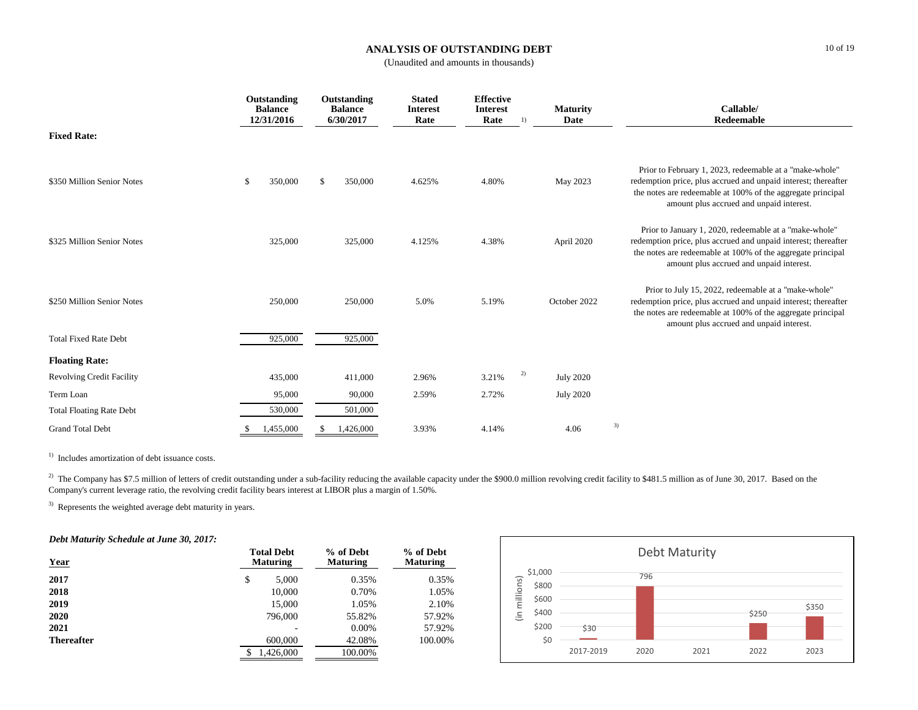# **ANALYSIS OF OUTSTANDING DEBT**

(Unaudited and amounts in thousands)

|                                  | Outstanding<br><b>Balance</b><br>12/31/2016 | Outstanding<br><b>Balance</b><br>6/30/2017 | <b>Stated</b><br><b>Interest</b><br>Rate | <b>Effective</b><br><b>Interest</b><br>Rate<br>1) | <b>Maturity</b><br>Date | Callable/<br>Redeemable                                                                                                                                                                                                              |
|----------------------------------|---------------------------------------------|--------------------------------------------|------------------------------------------|---------------------------------------------------|-------------------------|--------------------------------------------------------------------------------------------------------------------------------------------------------------------------------------------------------------------------------------|
| <b>Fixed Rate:</b>               |                                             |                                            |                                          |                                                   |                         |                                                                                                                                                                                                                                      |
| \$350 Million Senior Notes       | 350,000<br>\$                               | \$<br>350,000                              | 4.625%                                   | 4.80%                                             | May 2023                | Prior to February 1, 2023, redeemable at a "make-whole"<br>redemption price, plus accrued and unpaid interest; thereafter<br>the notes are redeemable at 100% of the aggregate principal<br>amount plus accrued and unpaid interest. |
| \$325 Million Senior Notes       | 325,000                                     | 325,000                                    | 4.125%                                   | 4.38%                                             | April 2020              | Prior to January 1, 2020, redeemable at a "make-whole"<br>redemption price, plus accrued and unpaid interest; thereafter<br>the notes are redeemable at 100% of the aggregate principal<br>amount plus accrued and unpaid interest.  |
| \$250 Million Senior Notes       | 250,000                                     | 250,000                                    | 5.0%                                     | 5.19%                                             | October 2022            | Prior to July 15, 2022, redeemable at a "make-whole"<br>redemption price, plus accrued and unpaid interest; thereafter<br>the notes are redeemable at 100% of the aggregate principal<br>amount plus accrued and unpaid interest.    |
| <b>Total Fixed Rate Debt</b>     | 925,000                                     | 925,000                                    |                                          |                                                   |                         |                                                                                                                                                                                                                                      |
| <b>Floating Rate:</b>            |                                             |                                            |                                          |                                                   |                         |                                                                                                                                                                                                                                      |
| <b>Revolving Credit Facility</b> | 435,000                                     | 411,000                                    | 2.96%                                    | 2)<br>3.21%                                       | <b>July 2020</b>        |                                                                                                                                                                                                                                      |
| Term Loan                        | 95,000                                      | 90,000                                     | 2.59%                                    | 2.72%                                             | <b>July 2020</b>        |                                                                                                                                                                                                                                      |
| <b>Total Floating Rate Debt</b>  | 530,000                                     | 501,000                                    |                                          |                                                   |                         |                                                                                                                                                                                                                                      |
| <b>Grand Total Debt</b>          | 1,455,000                                   | 1,426,000<br>-S                            | 3.93%                                    | 4.14%                                             | 4.06                    | 3)                                                                                                                                                                                                                                   |

<sup>1)</sup> Includes amortization of debt issuance costs.

 $^{2)}$  The Company has \$7.5 million of letters of credit outstanding under a sub-facility reducing the available capacity under the \$900.0 million revolving credit facility to \$481.5 million as of June 30, 2017. Based on t Company's current leverage ratio, the revolving credit facility bears interest at LIBOR plus a margin of 1.50%.

<sup>3)</sup> Represents the weighted average debt maturity in years.

*Debt Maturity Schedule at June 30, 2017:*

| Year              | <b>Total Debt</b><br><b>Maturing</b> | % of Debt<br><b>Maturing</b> | % of Debt<br><b>Maturing</b> |
|-------------------|--------------------------------------|------------------------------|------------------------------|
| 2017              | \$<br>5,000                          | 0.35%                        | 0.35%                        |
| 2018              | 10,000                               | 0.70%                        | 1.05%                        |
| 2019              | 15,000                               | 1.05%                        | 2.10%                        |
| 2020              | 796,000                              | 55.82%                       | 57.92%                       |
| 2021              |                                      | $0.00\%$                     | 57.92%                       |
| <b>Thereafter</b> | 600,000                              | 42.08%                       | 100.00%                      |
|                   | 1,426,000<br>\$                      | 100.00%                      |                              |

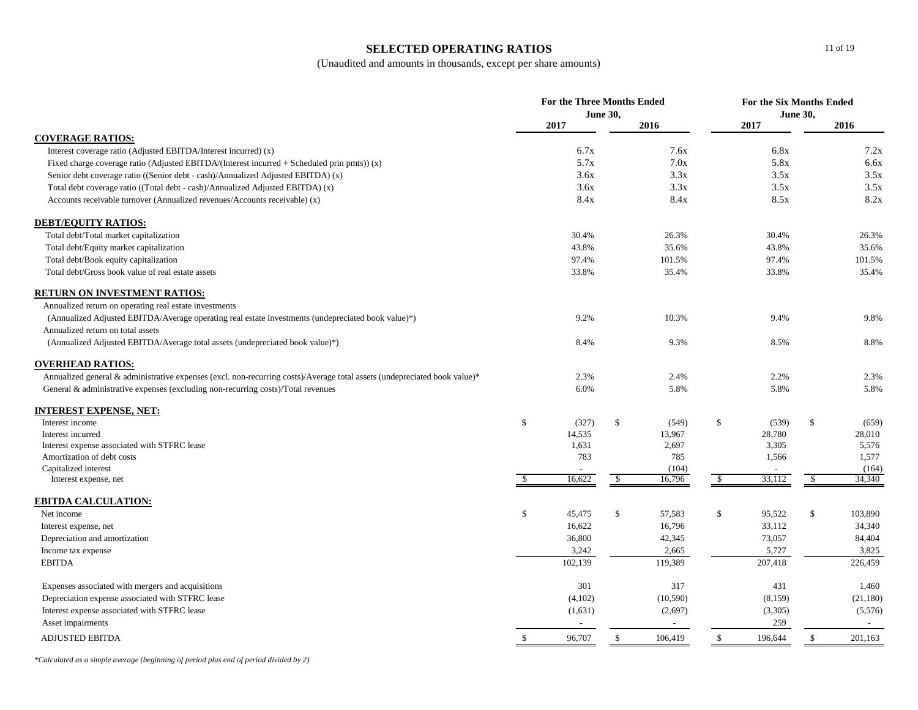# **SELECTED OPERATING RATIOS**

(Unaudited and amounts in thousands, except per share amounts)

|                                                                                                                           | For the Three Months Ended<br><b>June 30,</b> |         |               |          | For the Six Months Ended<br><b>June 30,</b> |                |              |           |
|---------------------------------------------------------------------------------------------------------------------------|-----------------------------------------------|---------|---------------|----------|---------------------------------------------|----------------|--------------|-----------|
|                                                                                                                           |                                               | 2017    |               | 2016     |                                             | 2017           |              | 2016      |
| <b>COVERAGE RATIOS:</b>                                                                                                   |                                               |         |               |          |                                             |                |              |           |
| Interest coverage ratio (Adjusted EBITDA/Interest incurred) (x)                                                           |                                               | 6.7x    |               | 7.6x     |                                             | 6.8x           |              | 7.2x      |
| Fixed charge coverage ratio (Adjusted EBITDA/(Interest incurred $+$ Scheduled prin pmts)) (x)                             |                                               | 5.7x    |               | 7.0x     |                                             | 5.8x           |              | 6.6x      |
| Senior debt coverage ratio ((Senior debt - cash)/Annualized Adjusted EBITDA) (x)                                          |                                               | 3.6x    |               | 3.3x     |                                             | 3.5x           |              | 3.5x      |
| Total debt coverage ratio ((Total debt - cash)/Annualized Adjusted EBITDA) (x)                                            |                                               | 3.6x    |               | 3.3x     |                                             | 3.5x           |              | 3.5x      |
| Accounts receivable turnover (Annualized revenues/Accounts receivable) (x)                                                |                                               | 8.4x    |               | 8.4x     |                                             | 8.5x           |              | 8.2x      |
| <b>DEBT/EQUITY RATIOS:</b>                                                                                                |                                               |         |               |          |                                             |                |              |           |
| Total debt/Total market capitalization                                                                                    |                                               | 30.4%   |               | 26.3%    |                                             | 30.4%          |              | 26.3%     |
| Total debt/Equity market capitalization                                                                                   |                                               | 43.8%   |               | 35.6%    |                                             | 43.8%          |              | 35.6%     |
| Total debt/Book equity capitalization                                                                                     |                                               | 97.4%   |               | 101.5%   |                                             | 97.4%          |              | 101.5%    |
| Total debt/Gross book value of real estate assets                                                                         |                                               | 33.8%   |               | 35.4%    |                                             | 33.8%          |              | 35.4%     |
| <b>RETURN ON INVESTMENT RATIOS:</b>                                                                                       |                                               |         |               |          |                                             |                |              |           |
| Annualized return on operating real estate investments                                                                    |                                               |         |               |          |                                             |                |              |           |
| (Annualized Adjusted EBITDA/Average operating real estate investments (undepreciated book value)*)                        |                                               | 9.2%    |               | 10.3%    |                                             | 9.4%           |              | 9.8%      |
| Annualized return on total assets                                                                                         |                                               |         |               |          |                                             |                |              |           |
| (Annualized Adjusted EBITDA/Average total assets (undepreciated book value)*)                                             |                                               | 8.4%    |               | 9.3%     |                                             | 8.5%           |              | 8.8%      |
| <b>OVERHEAD RATIOS:</b>                                                                                                   |                                               |         |               |          |                                             |                |              |           |
| Annualized general & administrative expenses (excl. non-recurring costs)/Average total assets (undepreciated book value)* |                                               | 2.3%    |               | 2.4%     |                                             | 2.2%           |              | 2.3%      |
| General & administrative expenses (excluding non-recurring costs)/Total revenues                                          |                                               | 6.0%    |               | 5.8%     |                                             | 5.8%           |              | 5.8%      |
| <b>INTEREST EXPENSE, NET:</b>                                                                                             |                                               |         |               |          |                                             |                |              |           |
| Interest income                                                                                                           | \$                                            | (327)   | \$            | (549)    | \$                                          | (539)          | \$           | (659)     |
| Interest incurred                                                                                                         |                                               | 14,535  |               | 13,967   |                                             | 28,780         |              | 28,010    |
| Interest expense associated with STFRC lease                                                                              |                                               | 1,631   |               | 2,697    |                                             | 3,305          |              | 5,576     |
| Amortization of debt costs                                                                                                |                                               | 783     |               | 785      |                                             | 1,566          |              | 1,577     |
| Capitalized interest                                                                                                      |                                               |         |               | (104)    |                                             | $\overline{a}$ |              | (164)     |
| Interest expense, net                                                                                                     | -S                                            | 16,622  | \$            | 16,796   | $\sqrt{3}$                                  | 33,112         | \$           | 34,340    |
| <b>EBITDA CALCULATION:</b>                                                                                                |                                               |         |               |          |                                             |                |              |           |
| Net income                                                                                                                | \$                                            | 45,475  | $\mathbb{S}$  | 57,583   | $\mathbb{S}$                                | 95,522         | $\mathbb{S}$ | 103,890   |
| Interest expense, net                                                                                                     |                                               | 16,622  |               | 16,796   |                                             | 33,112         |              | 34,340    |
| Depreciation and amortization                                                                                             |                                               | 36,800  |               | 42,345   |                                             | 73,057         |              | 84,404    |
| Income tax expense                                                                                                        |                                               | 3,242   |               | 2,665    |                                             | 5,727          |              | 3,825     |
| <b>EBITDA</b>                                                                                                             |                                               | 102,139 |               | 119,389  |                                             | 207,418        |              | 226,459   |
| Expenses associated with mergers and acquisitions                                                                         |                                               | 301     |               | 317      |                                             | 431            |              | 1,460     |
| Depreciation expense associated with STFRC lease                                                                          |                                               | (4,102) |               | (10,590) |                                             | (8,159)        |              | (21, 180) |
| Interest expense associated with STFRC lease                                                                              |                                               | (1,631) |               | (2,697)  |                                             | (3,305)        |              | (5,576)   |
| Asset impairments                                                                                                         |                                               | $\sim$  |               | $\sim$   |                                             | 259            |              | $\sim$    |
| <b>ADJUSTED EBITDA</b>                                                                                                    | \$                                            | 96,707  | $\mathcal{S}$ | 106,419  | \$                                          | 196,644        | \$           | 201,163   |

*\*Calculated as a simple average (beginning of period plus end of period divided by 2)*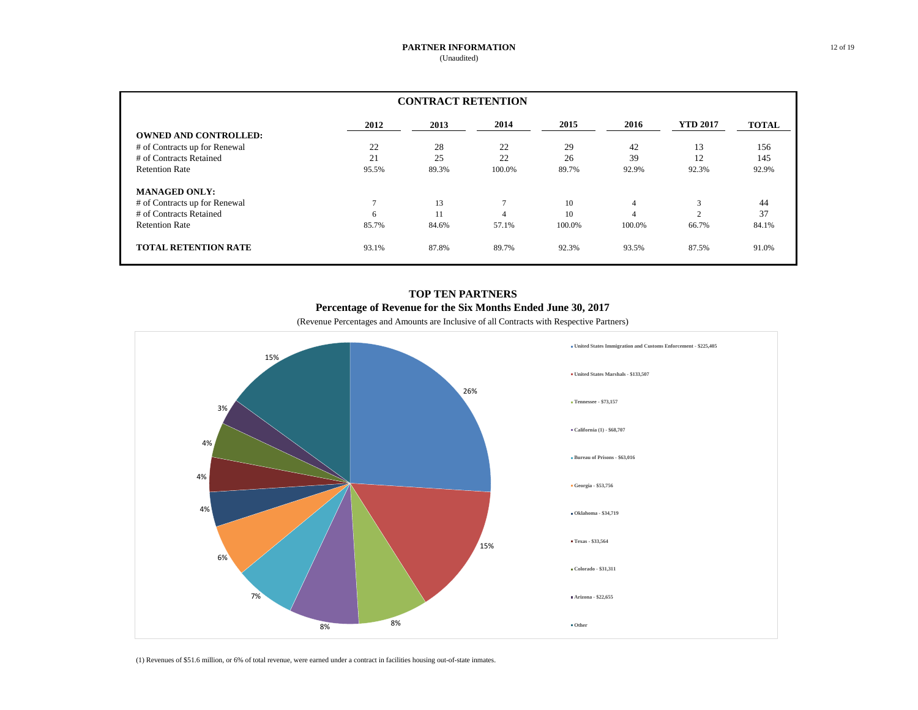| <b>CONTRACT RETENTION</b>     |              |       |                |        |                |                 |              |  |
|-------------------------------|--------------|-------|----------------|--------|----------------|-----------------|--------------|--|
|                               | 2012         | 2013  | 2014           | 2015   | 2016           | <b>YTD 2017</b> | <b>TOTAL</b> |  |
| <b>OWNED AND CONTROLLED:</b>  |              |       |                |        |                |                 |              |  |
| # of Contracts up for Renewal | 22           | 28    | 22             | 29     | 42             | 13              | 156          |  |
| # of Contracts Retained       | 21           | 25    | 22             | 26     | 39             | 12              | 145          |  |
| <b>Retention Rate</b>         | 95.5%        | 89.3% | 100.0%         | 89.7%  | 92.9%          | 92.3%           | 92.9%        |  |
| <b>MANAGED ONLY:</b>          |              |       |                |        |                |                 |              |  |
| # of Contracts up for Renewal | $\mathbf{r}$ | 13    | $\overline{ }$ | 10     | $\overline{4}$ | 3               | 44           |  |
| # of Contracts Retained       | 6            | 11    | 4              | 10     | $\overline{4}$ | $\sim$          | 37           |  |
| <b>Retention Rate</b>         | 85.7%        | 84.6% | 57.1%          | 100.0% | 100.0%         | 66.7%           | 84.1%        |  |
| <b>TOTAL RETENTION RATE</b>   | 93.1%        | 87.8% | 89.7%          | 92.3%  | 93.5%          | 87.5%           | 91.0%        |  |

# **TOP TEN PARTNERS Percentage of Revenue for the Six Months Ended June 30, 2017**

(Revenue Percentages and Amounts are Inclusive of all Contracts with Respective Partners)



(1) Revenues of \$51.6 million, or 6% of total revenue, were earned under a contract in facilities housing out-of-state inmates.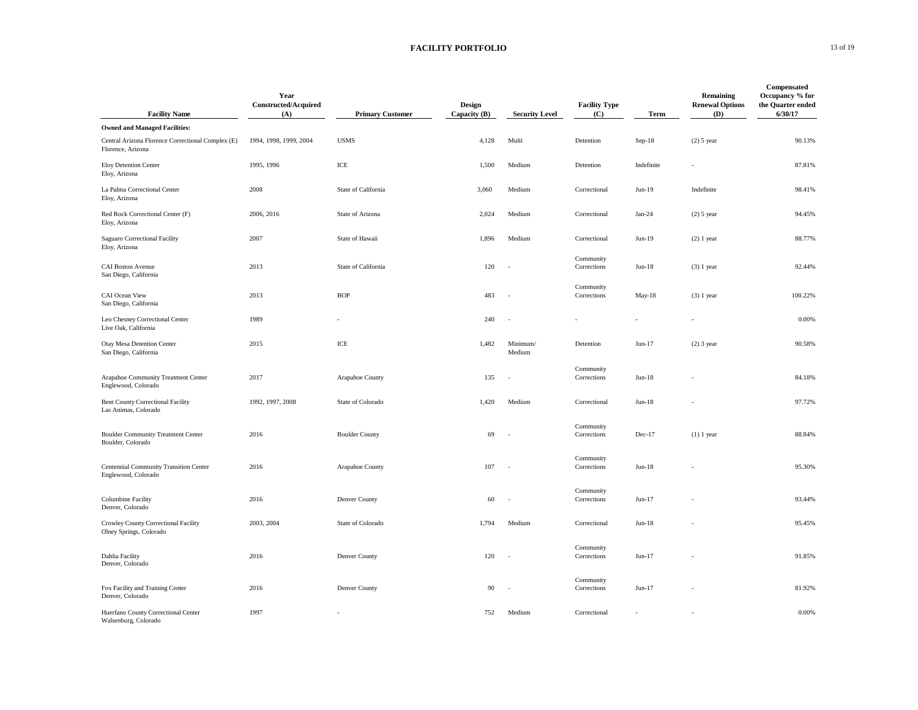### **FACILITY PORTFOLIO** 13 of 19

|                                                                        | Year<br>Constructed/Acquired |                         | Design         |                          | <b>Facility Type</b>     |            | Remaining<br><b>Renewal Options</b> | Compensated<br>Occupancy % for<br>the Quarter ended |
|------------------------------------------------------------------------|------------------------------|-------------------------|----------------|--------------------------|--------------------------|------------|-------------------------------------|-----------------------------------------------------|
| <b>Facility Name</b>                                                   | (A)                          | <b>Primary Customer</b> | Capacity $(B)$ | <b>Security Level</b>    | (C)                      | Term       | (D)                                 | 6/30/17                                             |
| <b>Owned and Managed Facilities:</b>                                   |                              |                         |                |                          |                          |            |                                     |                                                     |
| Central Arizona Florence Correctional Complex (E)<br>Florence, Arizona | 1994, 1998, 1999, 2004       | <b>USMS</b>             | 4,128          | Multi                    | Detention                | $Sep-18$   | $(2)$ 5 year                        | 90.13%                                              |
| <b>Eloy Detention Center</b><br>Eloy, Arizona                          | 1995, 1996                   | ICE                     | 1,500          | Medium                   | Detention                | Indefinite |                                     | 87.81%                                              |
| La Palma Correctional Center<br>Eloy, Arizona                          | 2008                         | State of California     | 3,060          | Medium                   | Correctional             | $Jun-19$   | Indefinite                          | 98.41%                                              |
| Red Rock Correctional Center (F)<br>Eloy, Arizona                      | 2006, 2016                   | State of Arizona        | 2,024          | Medium                   | Correctional             | $Jan-24$   | $(2)$ 5 year                        | 94.45%                                              |
| Saguaro Correctional Facility<br>Eloy, Arizona                         | 2007                         | State of Hawaii         | 1,896          | Medium                   | Correctional             | $Jun-19$   | $(2) 1$ year                        | 88.77%                                              |
| CAI Boston Avenue<br>San Diego, California                             | 2013                         | State of California     | 120            | $\ddot{\phantom{a}}$     | Community<br>Corrections | $Jun-18$   | $(3)$ 1 year                        | 92.44%                                              |
| CAI Ocean View<br>San Diego, California                                | 2013                         | <b>BOP</b>              | 483            | ÷.                       | Community<br>Corrections | May-18     | $(3)$ 1 year                        | 100.22%                                             |
| Leo Chesney Correctional Center<br>Live Oak, California                | 1989                         |                         | 240            | $\ddot{\phantom{a}}$     |                          |            |                                     | 0.00%                                               |
| Otay Mesa Detention Center<br>San Diego, California                    | 2015                         | ICE                     | 1,482          | Minimum/<br>Medium       | Detention                | $Jun-17$   | $(2)$ 3 year                        | 90.58%                                              |
| Arapahoe Community Treatment Center<br>Englewood, Colorado             | 2017                         | Arapahoe County         | 135            | ÷,                       | Community<br>Corrections | $Jun-18$   |                                     | 84.18%                                              |
| <b>Bent County Correctional Facility</b><br>Las Animas, Colorado       | 1992, 1997, 2008             | State of Colorado       | 1,420          | Medium                   | Correctional             | $Jun-18$   |                                     | 97.72%                                              |
| <b>Boulder Community Treatment Center</b><br>Boulder, Colorado         | 2016                         | <b>Boulder County</b>   | 69             | ÷.                       | Community<br>Corrections | Dec-17     | $(1)$ 1 year                        | 88.84%                                              |
| Centennial Community Transition Center<br>Englewood, Colorado          | 2016                         | Arapahoe County         | 107            |                          | Community<br>Corrections | $Jun-18$   |                                     | 95.30%                                              |
| Columbine Facility<br>Denver, Colorado                                 | 2016                         | Denver County           | 60             | $\overline{\phantom{a}}$ | Community<br>Corrections | $Jun-17$   |                                     | 93.44%                                              |
| Crowley County Correctional Facility<br>Olney Springs, Colorado        | 2003, 2004                   | State of Colorado       | 1,794          | Medium                   | Correctional             | $Jun-18$   |                                     | 95.45%                                              |
| Dahlia Facility<br>Denver, Colorado                                    | 2016                         | Denver County           | 120            | ÷,                       | Community<br>Corrections | $Jun-17$   |                                     | 91.85%                                              |
| Fox Facility and Training Center<br>Denver, Colorado                   | 2016                         | Denver County           | 90             | $\overline{\phantom{a}}$ | Community<br>Corrections | $Jun-17$   |                                     | 81.92%                                              |
| Huerfano County Correctional Center<br>Walsenburg, Colorado            | 1997                         |                         | 752            | Medium                   | Correctional             |            |                                     | 0.00%                                               |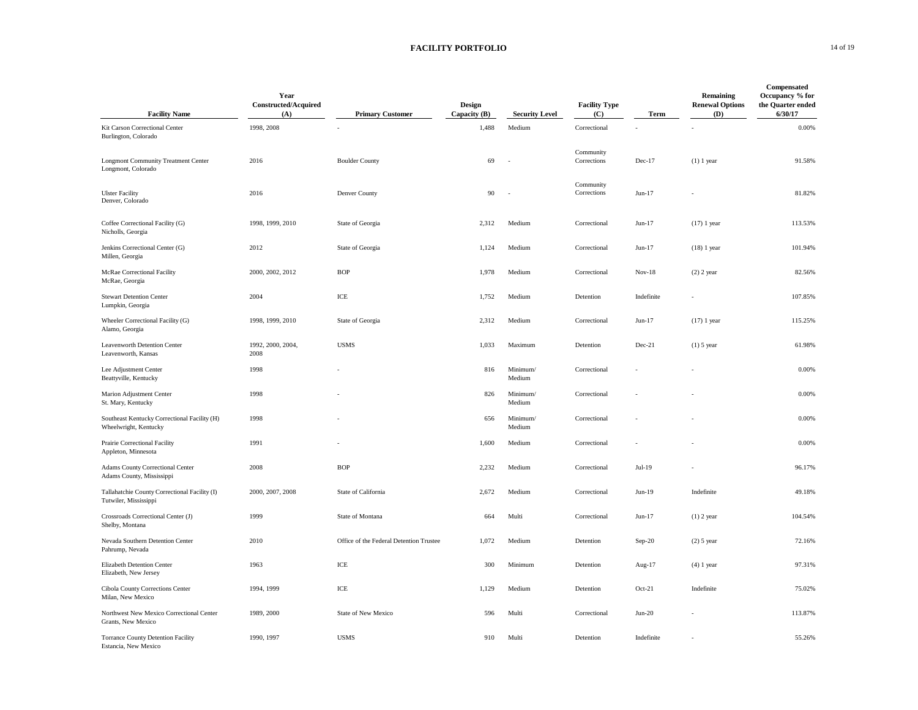## **FACILITY PORTFOLIO** 14 of 19

| <b>Facility Name</b>                                                   | Year<br><b>Constructed/Acquired</b><br>(A) | <b>Primary Customer</b>                 | Design<br>Capacity (B) | <b>Security Level</b> | <b>Facility Type</b><br>(C) | Term       | Remaining<br><b>Renewal Options</b><br>(D) | Compensated<br>Occupancy % for<br>the Quarter ended<br>6/30/17 |
|------------------------------------------------------------------------|--------------------------------------------|-----------------------------------------|------------------------|-----------------------|-----------------------------|------------|--------------------------------------------|----------------------------------------------------------------|
| Kit Carson Correctional Center<br>Burlington, Colorado                 | 1998, 2008                                 |                                         | 1,488                  | Medium                | Correctional                |            |                                            | 0.00%                                                          |
| <b>Longmont Community Treatment Center</b><br>Longmont, Colorado       | 2016                                       | <b>Boulder County</b>                   | 69                     | $\sim$                | Community<br>Corrections    | $Dec-17$   | $(1)$ 1 year                               | 91.58%                                                         |
| <b>Ulster Facility</b><br>Denver, Colorado                             | 2016                                       | Denver County                           | 90                     | ÷.                    | Community<br>Corrections    | $Jun-17$   |                                            | 81.82%                                                         |
| Coffee Correctional Facility (G)<br>Nicholls, Georgia                  | 1998, 1999, 2010                           | State of Georgia                        | 2,312                  | Medium                | Correctional                | $Jun-17$   | $(17)$ 1 year                              | 113.53%                                                        |
| Jenkins Correctional Center (G)<br>Millen, Georgia                     | 2012                                       | State of Georgia                        | 1,124                  | Medium                | Correctional                | $Jun-17$   | $(18)$ 1 year                              | 101.94%                                                        |
| McRae Correctional Facility<br>McRae, Georgia                          | 2000, 2002, 2012                           | <b>BOP</b>                              | 1,978                  | Medium                | Correctional                | $Nov-18$   | $(2)$ 2 year                               | 82.56%                                                         |
| <b>Stewart Detention Center</b><br>Lumpkin, Georgia                    | 2004                                       | ICE                                     | 1,752                  | Medium                | Detention                   | Indefinite |                                            | 107.85%                                                        |
| Wheeler Correctional Facility (G)<br>Alamo, Georgia                    | 1998, 1999, 2010                           | State of Georgia                        | 2,312                  | Medium                | Correctional                | $Jun-17$   | $(17)$ 1 year                              | 115.25%                                                        |
| Leavenworth Detention Center<br>Leavenworth, Kansas                    | 1992, 2000, 2004,<br>2008                  | <b>USMS</b>                             | 1,033                  | Maximum               | Detention                   | Dec-21     | $(1)$ 5 year                               | 61.98%                                                         |
| Lee Adjustment Center<br>Beattyville, Kentucky                         | 1998                                       |                                         | 816                    | Minimum/<br>Medium    | Correctional                |            |                                            | 0.00%                                                          |
| Marion Adjustment Center<br>St. Mary, Kentucky                         | 1998                                       |                                         | 826                    | Minimum/<br>Medium    | Correctional                |            |                                            | 0.00%                                                          |
| Southeast Kentucky Correctional Facility (H)<br>Wheelwright, Kentucky  | 1998                                       |                                         | 656                    | Minimum/<br>Medium    | Correctional                |            |                                            | 0.00%                                                          |
| Prairie Correctional Facility<br>Appleton, Minnesota                   | 1991                                       |                                         | 1,600                  | Medium                | Correctional                |            |                                            | 0.00%                                                          |
| Adams County Correctional Center<br>Adams County, Mississippi          | 2008                                       | <b>BOP</b>                              | 2,232                  | Medium                | Correctional                | $Jul-19$   |                                            | 96.17%                                                         |
| Tallahatchie County Correctional Facility (I)<br>Tutwiler, Mississippi | 2000, 2007, 2008                           | State of California                     | 2,672                  | Medium                | Correctional                | Jun-19     | Indefinite                                 | 49.18%                                                         |
| Crossroads Correctional Center (J)<br>Shelby, Montana                  | 1999                                       | State of Montana                        | 664                    | Multi                 | Correctional                | $Jun-17$   | $(1)$ 2 year                               | 104.54%                                                        |
| Nevada Southern Detention Center<br>Pahrump, Nevada                    | 2010                                       | Office of the Federal Detention Trustee | 1,072                  | Medium                | Detention                   | $Sep-20$   | $(2)$ 5 year                               | 72.16%                                                         |
| Elizabeth Detention Center<br>Elizabeth, New Jersey                    | 1963                                       | ICE                                     | 300                    | Minimum               | Detention                   | Aug-17     | $(4)$ 1 year                               | 97.31%                                                         |
| Cibola County Corrections Center<br>Milan, New Mexico                  | 1994, 1999                                 | ICE                                     | 1,129                  | Medium                | Detention                   | $Oct-21$   | Indefinite                                 | 75.02%                                                         |
| Northwest New Mexico Correctional Center<br>Grants, New Mexico         | 1989, 2000                                 | State of New Mexico                     | 596                    | Multi                 | Correctional                | $Jun-20$   |                                            | 113.87%                                                        |
| <b>Torrance County Detention Facility</b><br>Estancia, New Mexico      | 1990, 1997                                 | <b>USMS</b>                             | 910                    | Multi                 | Detention                   | Indefinite |                                            | 55.26%                                                         |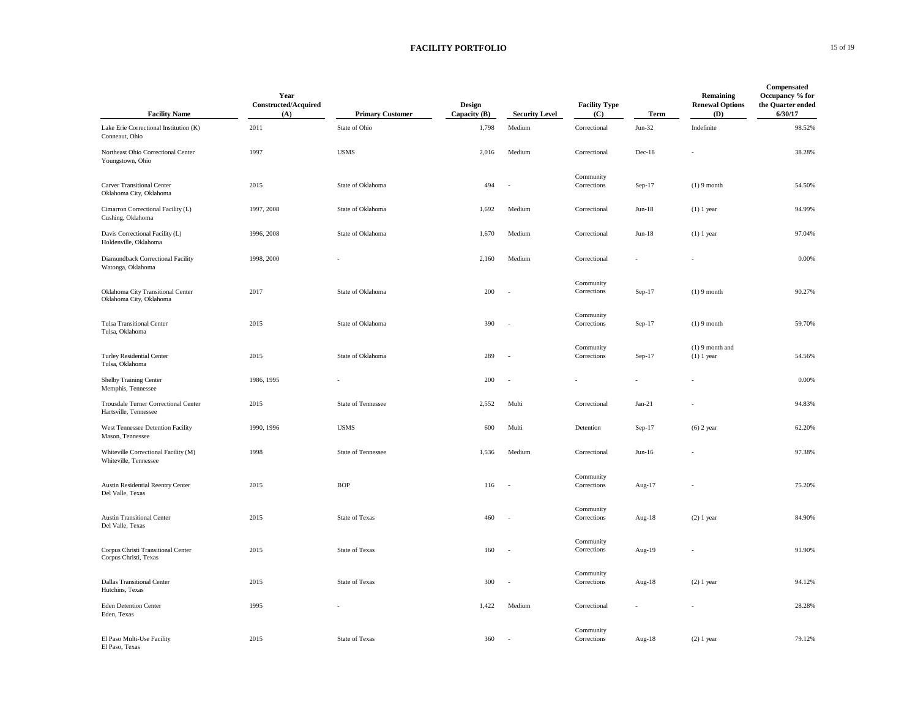## **FACILITY PORTFOLIO** 15 of 19

| <b>Facility Name</b>                                          | Year<br>Constructed/Acquired<br>(A) | <b>Primary Customer</b> | Design<br>Capacity (B) | <b>Security Level</b>    | <b>Facility Type</b><br>(C) | Term                 | Remaining<br><b>Renewal Options</b><br>(D) | Compensated<br>Occupancy % for<br>the Quarter ended<br>6/30/17 |
|---------------------------------------------------------------|-------------------------------------|-------------------------|------------------------|--------------------------|-----------------------------|----------------------|--------------------------------------------|----------------------------------------------------------------|
| Lake Erie Correctional Institution (K)<br>Conneaut, Ohio      | 2011                                | State of Ohio           | 1,798                  | Medium                   | Correctional                | $Jun-32$             | Indefinite                                 | 98.52%                                                         |
| Northeast Ohio Correctional Center<br>Youngstown, Ohio        | 1997                                | <b>USMS</b>             | 2,016                  | Medium                   | Correctional                | $Dec-18$             |                                            | 38.28%                                                         |
| <b>Carver Transitional Center</b><br>Oklahoma City, Oklahoma  | 2015                                | State of Oklahoma       | 494                    | $\sim$                   | Community<br>Corrections    | $Sep-17$             | $(1) 9$ month                              | 54.50%                                                         |
| Cimarron Correctional Facility (L)<br>Cushing, Oklahoma       | 1997, 2008                          | State of Oklahoma       | 1,692                  | Medium                   | Correctional                | $Jun-18$             | $(1)$ 1 year                               | 94.99%                                                         |
| Davis Correctional Facility (L)<br>Holdenville, Oklahoma      | 1996, 2008                          | State of Oklahoma       | 1,670                  | Medium                   | Correctional                | $Jun-18$             | $(1)$ 1 year                               | 97.04%                                                         |
| Diamondback Correctional Facility<br>Watonga, Oklahoma        | 1998, 2000                          |                         | 2,160                  | Medium                   | Correctional                |                      |                                            | 0.00%                                                          |
| Oklahoma City Transitional Center<br>Oklahoma City, Oklahoma  | 2017                                | State of Oklahoma       | 200                    | $\sim$                   | Community<br>Corrections    | Sep-17               | $(1) 9$ month                              | 90.27%                                                         |
| <b>Tulsa Transitional Center</b><br>Tulsa, Oklahoma           | 2015                                | State of Oklahoma       | 390                    | $\overline{\phantom{a}}$ | Community<br>Corrections    | $Sep-17$             | $(1) 9$ month                              | 59.70%                                                         |
| Turley Residential Center<br>Tulsa, Oklahoma                  | 2015                                | State of Oklahoma       | 289                    | ÷,                       | Community<br>Corrections    | Sep-17               | $(1)$ 9 month and<br>$(1)$ 1 year          | 54.56%                                                         |
| <b>Shelby Training Center</b><br>Memphis, Tennessee           | 1986, 1995                          |                         | 200                    | $\sim$                   |                             |                      |                                            | 0.00%                                                          |
| Trousdale Turner Correctional Center<br>Hartsville, Tennessee | 2015                                | State of Tennessee      | 2,552                  | Multi                    | Correctional                | $Jan-21$             |                                            | 94.83%                                                         |
| West Tennessee Detention Facility<br>Mason, Tennessee         | 1990, 1996                          | <b>USMS</b>             | 600                    | Multi                    | Detention                   | $Sep-17$             | $(6)$ 2 year                               | 62.20%                                                         |
| Whiteville Correctional Facility (M)<br>Whiteville, Tennessee | 1998                                | State of Tennessee      | 1,536                  | Medium                   | Correctional                | $Jun-16$             |                                            | 97.38%                                                         |
| Austin Residential Reentry Center<br>Del Valle, Texas         | 2015                                | <b>BOP</b>              | 116                    | $\sim$                   | Community<br>Corrections    | Aug-17               |                                            | 75.20%                                                         |
| <b>Austin Transitional Center</b><br>Del Valle, Texas         | 2015                                | State of Texas          | 460                    | $\sim$                   | Community<br>Corrections    | Aug-18               | $(2)$ 1 year                               | 84.90%                                                         |
| Corpus Christi Transitional Center<br>Corpus Christi, Texas   | 2015                                | State of Texas          | 160                    | $\sim$                   | Community<br>Corrections    | Aug-19               |                                            | 91.90%                                                         |
| <b>Dallas Transitional Center</b><br>Hutchins, Texas          | 2015                                | State of Texas          | 300                    | $\sim$                   | Community<br>Corrections    | Aug- $18$            | $(2)$ 1 year                               | 94.12%                                                         |
| <b>Eden Detention Center</b><br>Eden, Texas                   | 1995                                |                         | 1,422                  | Medium                   | Correctional                | $\ddot{\phantom{1}}$ |                                            | 28.28%                                                         |
| El Paso Multi-Use Facility<br>El Paso, Texas                  | 2015                                | State of Texas          | 360                    | $\sim$                   | Community<br>Corrections    | Aug-18               | $(2)$ 1 year                               | 79.12%                                                         |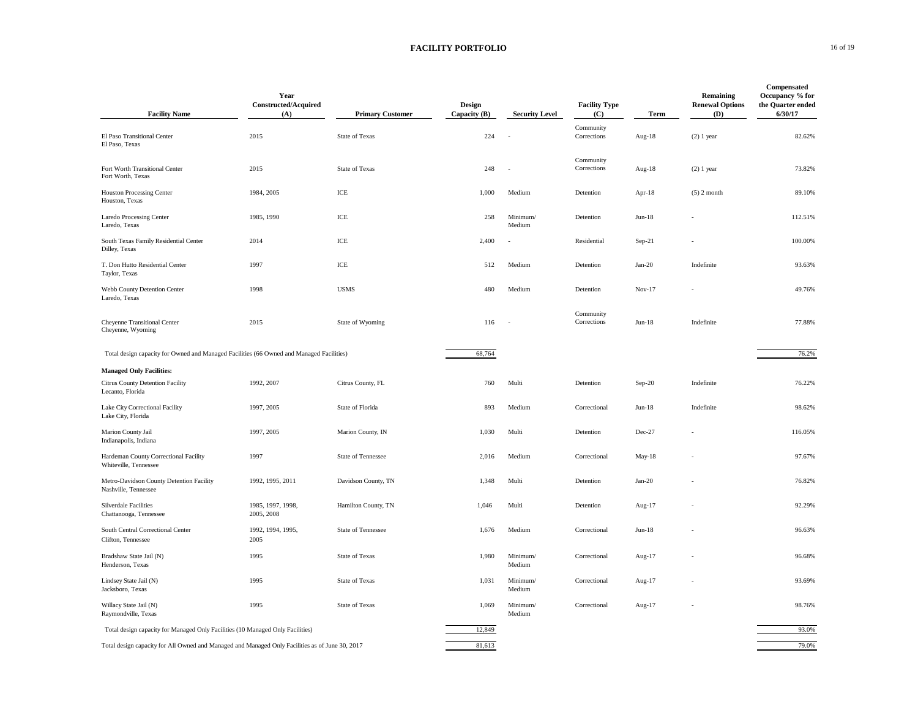### **FACILITY PORTFOLIO** 16 of 19

| <b>Facility Name</b>                                                                            | Year<br>Constructed/Acquired<br>(A) | <b>Primary Customer</b> | <b>Design</b><br>Capacity (B) | <b>Security Level</b> | <b>Facility Type</b><br>(C) | Term     | Remaining<br><b>Renewal Options</b><br>(D) | Compensated<br>Occupancy % for<br>the Quarter ended<br>6/30/17 |
|-------------------------------------------------------------------------------------------------|-------------------------------------|-------------------------|-------------------------------|-----------------------|-----------------------------|----------|--------------------------------------------|----------------------------------------------------------------|
| El Paso Transitional Center<br>El Paso, Texas                                                   | 2015                                | State of Texas          | 224                           | ÷.                    | Community<br>Corrections    | Aug-18   | $(2)$ 1 year                               | 82.62%                                                         |
| Fort Worth Transitional Center<br>Fort Worth, Texas                                             | 2015                                | <b>State of Texas</b>   | 248                           | $\sim$                | Community<br>Corrections    | Aug-18   | $(2)$ 1 year                               | 73.82%                                                         |
| <b>Houston Processing Center</b><br>Houston, Texas                                              | 1984, 2005                          | ICE                     | 1,000                         | Medium                | Detention                   | Apr-18   | $(5)$ 2 month                              | 89.10%                                                         |
| <b>Laredo Processing Center</b><br>Laredo, Texas                                                | 1985, 1990                          | ICE                     | 258                           | Minimum/<br>Medium    | Detention                   | $Jun-18$ |                                            | 112.51%                                                        |
| South Texas Family Residential Center<br>Dilley, Texas                                          | 2014                                | ICE                     | 2,400                         |                       | Residential                 | $Sep-21$ |                                            | 100.00%                                                        |
| T. Don Hutto Residential Center<br>Taylor, Texas                                                | 1997                                | ICE                     | 512                           | Medium                | Detention                   | $Jan-20$ | Indefinite                                 | 93.63%                                                         |
| Webb County Detention Center<br>Laredo, Texas                                                   | 1998                                | <b>USMS</b>             | 480                           | Medium                | Detention                   | Nov-17   |                                            | 49.76%                                                         |
| Cheyenne Transitional Center<br>Cheyenne, Wyoming                                               | 2015                                | State of Wyoming        | 116                           |                       | Community<br>Corrections    | $Jun-18$ | Indefinite                                 | 77.88%                                                         |
| Total design capacity for Owned and Managed Facilities (66 Owned and Managed Facilities)        |                                     |                         | 68,764                        |                       |                             |          |                                            | 76.2%                                                          |
| <b>Managed Only Facilities:</b>                                                                 |                                     |                         |                               |                       |                             |          |                                            |                                                                |
| Citrus County Detention Facility<br>Lecanto, Florida                                            | 1992, 2007                          | Citrus County, FL       | 760                           | Multi                 | Detention                   | $Sep-20$ | Indefinite                                 | 76.22%                                                         |
| Lake City Correctional Facility<br>Lake City, Florida                                           | 1997, 2005                          | State of Florida        | 893                           | Medium                | Correctional                | $Jun-18$ | Indefinite                                 | 98.62%                                                         |
| Marion County Jail<br>Indianapolis, Indiana                                                     | 1997, 2005                          | Marion County, IN       | 1,030                         | Multi                 | Detention                   | Dec-27   |                                            | 116.05%                                                        |
| Hardeman County Correctional Facility<br>Whiteville, Tennessee                                  | 1997                                | State of Tennessee      | 2,016                         | Medium                | Correctional                | May-18   |                                            | 97.67%                                                         |
| Metro-Davidson County Detention Facility<br>Nashville, Tennessee                                | 1992, 1995, 2011                    | Davidson County, TN     | 1,348                         | Multi                 | Detention                   | $Jan-20$ |                                            | 76.82%                                                         |
| <b>Silverdale Facilities</b><br>Chattanooga, Tennessee                                          | 1985, 1997, 1998,<br>2005, 2008     | Hamilton County, TN     | 1,046                         | Multi                 | Detention                   | Aug-17   |                                            | 92.29%                                                         |
| South Central Correctional Center<br>Clifton, Tennessee                                         | 1992, 1994, 1995,<br>2005           | State of Tennessee      | 1,676                         | Medium                | Correctional                | $Jun-18$ |                                            | 96.63%                                                         |
| Bradshaw State Jail (N)<br>Henderson, Texas                                                     | 1995                                | State of Texas          | 1,980                         | Minimum/<br>Medium    | Correctional                | Aug-17   |                                            | 96.68%                                                         |
| Lindsey State Jail (N)<br>Jacksboro, Texas                                                      | 1995                                | State of Texas          | 1,031                         | Minimum/<br>Medium    | Correctional                | Aug-17   |                                            | 93.69%                                                         |
| Willacy State Jail (N)<br>Raymondville, Texas                                                   | 1995                                | State of Texas          | 1,069                         | Minimum/<br>Medium    | Correctional                | Aug-17   |                                            | 98.76%                                                         |
| Total design capacity for Managed Only Facilities (10 Managed Only Facilities)                  |                                     |                         | 12,849                        |                       |                             |          |                                            | 93.0%                                                          |
| Total design capacity for All Owned and Managed and Managed Only Facilities as of June 30, 2017 |                                     |                         | 81,613                        |                       |                             |          |                                            | 79.0%                                                          |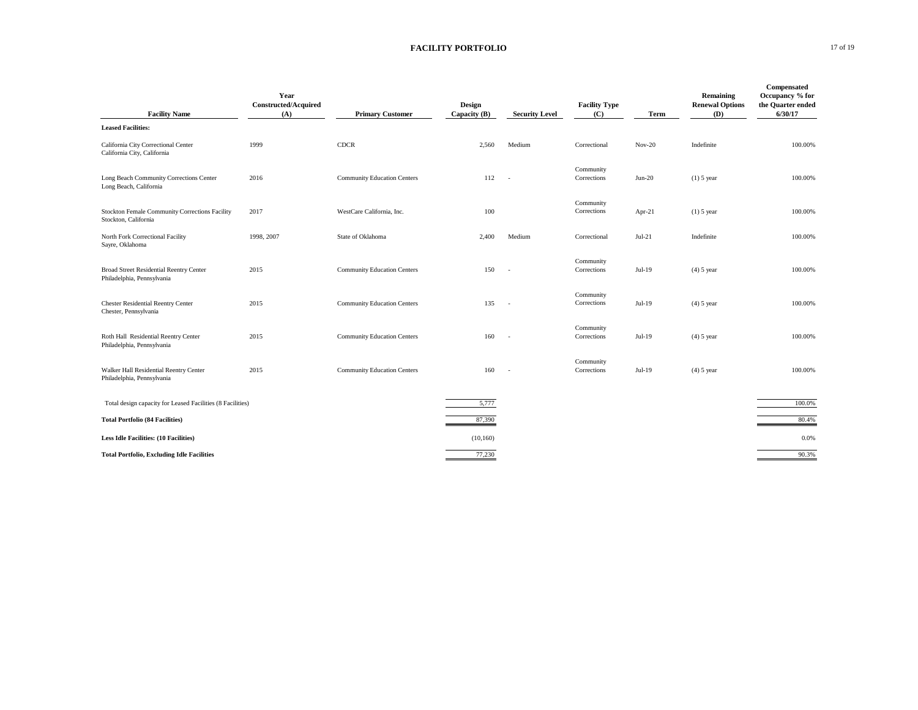## **FACILITY PORTFOLIO** 17 of 19

| <b>Facility Name</b>                                                         | Year<br><b>Constructed/Acquired</b><br>(A) | <b>Primary Customer</b>            | <b>Design</b><br>Capacity (B) | <b>Security Level</b> | <b>Facility Type</b><br>(C) | Term     | Remaining<br><b>Renewal Options</b><br>(D) | Compensated<br>Occupancy % for<br>the Quarter ended<br>6/30/17 |
|------------------------------------------------------------------------------|--------------------------------------------|------------------------------------|-------------------------------|-----------------------|-----------------------------|----------|--------------------------------------------|----------------------------------------------------------------|
| <b>Leased Facilities:</b>                                                    |                                            |                                    |                               |                       |                             |          |                                            |                                                                |
| California City Correctional Center<br>California City, California           | 1999                                       | <b>CDCR</b>                        | 2,560                         | Medium                | Correctional                | $Nov-20$ | Indefinite                                 | 100.00%                                                        |
| Long Beach Community Corrections Center<br>Long Beach, California            | 2016                                       | <b>Community Education Centers</b> | 112                           | $\sim$                | Community<br>Corrections    | $Jun-20$ | $(1)$ 5 year                               | 100.00%                                                        |
| Stockton Female Community Corrections Facility<br>Stockton, California       | 2017                                       | WestCare California, Inc.          | 100                           |                       | Community<br>Corrections    | Apr-21   | $(1)$ 5 year                               | 100.00%                                                        |
| North Fork Correctional Facility<br>Sayre, Oklahoma                          | 1998, 2007                                 | State of Oklahoma                  | 2,400                         | Medium                | Correctional                | $Jul-21$ | Indefinite                                 | 100.00%                                                        |
| <b>Broad Street Residential Reentry Center</b><br>Philadelphia, Pennsylvania | 2015                                       | <b>Community Education Centers</b> | 150                           | $\sim$                | Community<br>Corrections    | $Jul-19$ | $(4)$ 5 year                               | 100.00%                                                        |
| <b>Chester Residential Reentry Center</b><br>Chester, Pennsylvania           | 2015                                       | <b>Community Education Centers</b> | 135                           | $\sim$                | Community<br>Corrections    | $Jul-19$ | $(4)$ 5 year                               | 100.00%                                                        |
| Roth Hall Residential Reentry Center<br>Philadelphia, Pennsylvania           | 2015                                       | <b>Community Education Centers</b> | 160                           | $\sim$                | Community<br>Corrections    | Jul-19   | $(4)$ 5 year                               | 100.00%                                                        |
| Walker Hall Residential Reentry Center<br>Philadelphia, Pennsylvania         | 2015                                       | <b>Community Education Centers</b> | 160                           | $\sim$                | Community<br>Corrections    | $Jul-19$ | $(4)$ 5 year                               | 100.00%                                                        |
| Total design capacity for Leased Facilities (8 Facilities)                   |                                            |                                    | 5,777                         |                       |                             |          |                                            | 100.0%                                                         |
| <b>Total Portfolio (84 Facilities)</b>                                       |                                            |                                    | 87,390                        |                       |                             |          |                                            | 80.4%                                                          |
| <b>Less Idle Facilities: (10 Facilities)</b>                                 |                                            |                                    | (10, 160)                     |                       |                             |          |                                            | 0.0%                                                           |
| <b>Total Portfolio, Excluding Idle Facilities</b>                            |                                            |                                    | 77,230                        |                       |                             |          |                                            | 90.3%                                                          |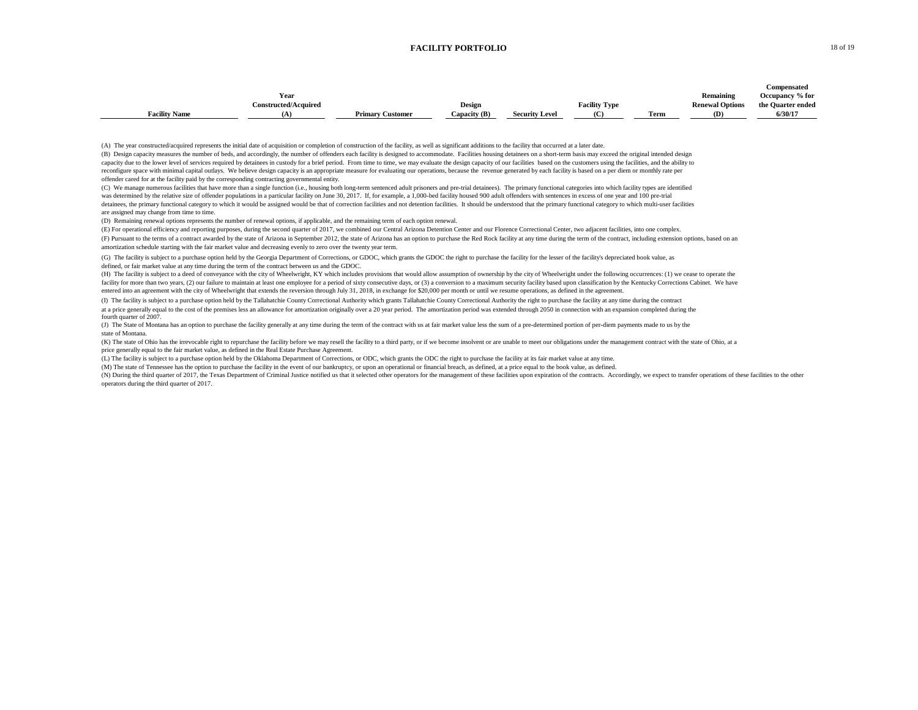#### **FACILITY PORTFOLIO** 18 of 19

|                      |                             |                         |              |                       |                      |      |                        | Compensated       |
|----------------------|-----------------------------|-------------------------|--------------|-----------------------|----------------------|------|------------------------|-------------------|
|                      | Year                        |                         |              |                       |                      |      | Remaining              | Occupancy % for   |
|                      | <b>Constructed/Acquired</b> |                         | Design       |                       | <b>Facility Type</b> |      | <b>Renewal Options</b> | the Quarter ended |
| <b>Facility Name</b> |                             | <b>Primary Customer</b> | Capacity (B) | <b>Security Level</b> | (C)                  | Term | (D)                    | 6/30/17           |

(A) The year constructed/acquired represents the initial date of acquisition or completion of construction of the facility, as well as significant additions to the facility that occurred at a later date.

offender cared for at the facility paid by the corresponding contracting governmental entity. (B) Design capacity measures the number of beds, and accordingly, the number of offenders each facility is designed to accommodate. Facilities housing detainees on a short-term basis may exceed the original intended design capacity due to the lower level of services required by detainees in custody for a brief period. From time to time, we may evaluate the design capacity of our facilities based on the customers using the facilities, and the reconfigure space with minimal capital outlays. We believe design capacity is an appropriate measure for evaluating our operations, because the revenue generated by each facility is based on a per diem or monthly rate per

was determined by the relative size of offender populations in a particular facility on June 30, 2017. If, for example, a 1,000-bed facility housed 900 adult offenders with sentences in excess of one year and 100 pre-trial are assigned may change from time to time. detainees, the primary functional category to which it would be assigned would be that of correction facilities and not detention facilities. It should be understood that the primary functional category to which multi-user (C) We manage numerous facilities that have more than a single function (i.e., housing both long-term sentenced adult prisoners and pre-trial detainees). The primary functional categories into which facility types are iden

(D) Remaining renewal options represents the number of renewal options, if applicable, and the remaining term of each option renewal.

(E) For operational efficiency and reporting purposes, during the second quarter of 2017, we combined our Central Arizona Detention Center and our Florence Correctional Center, two adjacent facilities, into one complex.

(F) Pursuant to the terms of a contract awarded by the state of Arizona in September 2012, the state of Arizona has an option to purchase the Red Rock facility at any time during the term of the contract, including extensi amortization schedule starting with the fair market value and decreasing evenly to zero over the twenty year term.

defined, or fair market value at any time during the term of the contract between us and the GDOC. (G) The facility is subject to a purchase option held by the Georgia Department of Corrections, or GDOC, which grants the GDOC the right to purchase the facility for the lesser of the facility's depreciated book value, as

(H) The facility is subject to a deed of conveyance with the city of Wheelwright, KY which includes provisions that would allow assumption of ownership by the city of Wheelwright under the following occurrences: (1) we cea facility for more than two years, (2) our failure to maintain at least one employee for a period of sixty consecutive days, or (3) a conversion to a maximum security facility based upon classification by the Kentucky Corre entered into an agreement with the city of Wheelwright that extends the reversion through July 31, 2018, in exchange for \$20,000 per month or until we resume operations, as defined in the agreement.

(I) The facility is subject to a purchase option held by the Tallahatchie County Correctional Authority which grants Tallahatchie County Correctional Authority the right to purchase the facility at any time during the cont

fourth quarter of 2007. at a price generally equal to the cost of the premises less an allowance for amortization originally over a 20 year period. The amortization period was extended through 2050 in connection with an expansion completed during

state of Montana. (J) The State of Montana has an option to purchase the facility generally at any time during the term of the contract with us at fair market value less the sum of a pre-determined portion of per-dien payments made to us by

(K) The state of Ohio has the irrevocable right to repurchase the facility before we may resell the facility to a third party, or if we become insolvent or are unable to meet our obligations under the management contract w price generally equal to the fair market value, as defined in the Real Estate Purchase Agreement.

(L) The facility is subject to a purchase option held by the Oklahoma Department of Corrections, or ODC, which grants the ODC the right to purchase the facility at its fair market value at any time.

(M) The state of Tennessee has the option to purchase the facility in the event of our bankruptcy, or upon an operational or financial breach, as defined, at a price equal to the book value, as defined.

(N) During the third quarter of 2017, the Texas Department of Criminal Justice notified us that it selected other operators for the management of these facilities upon expiration of the contracts. Accordingly, we expect to operators during the third quarter of 2017.